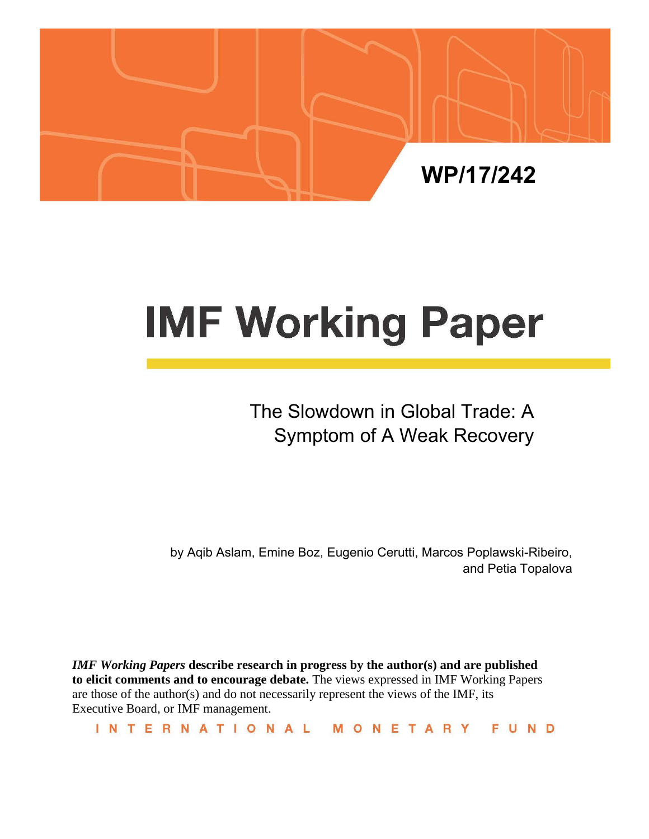

# **IMF Working Paper**

# The Slowdown in Global Trade: A Symptom of A Weak Recovery

by Aqib Aslam, Emine Boz, Eugenio Cerutti, Marcos Poplawski-Ribeiro, and Petia Topalova

*IMF Working Papers* **describe research in progress by the author(s) and are published to elicit comments and to encourage debate.** The views expressed in IMF Working Papers are those of the author(s) and do not necessarily represent the views of the IMF, its Executive Board, or IMF management.

INTERNATIONAL MONETARY FUND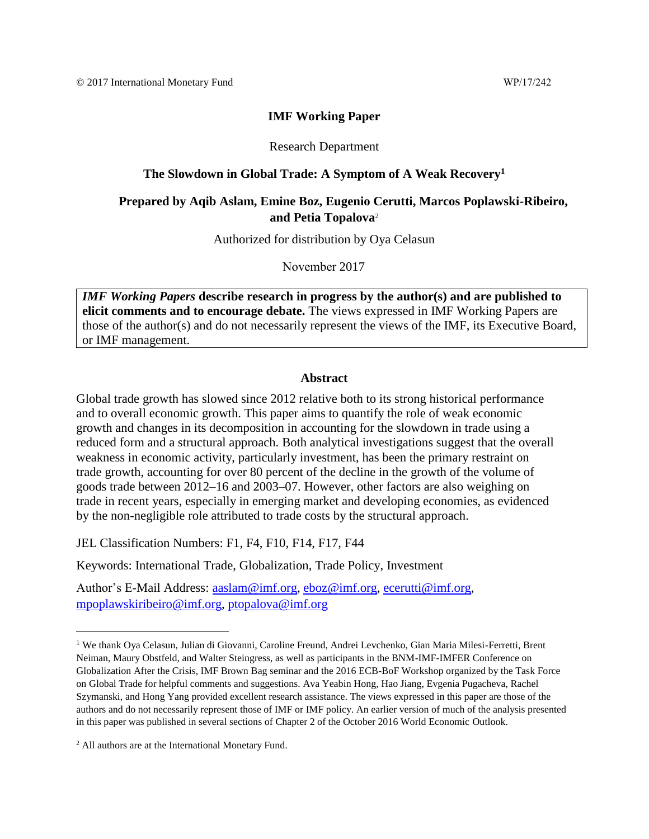## **IMF Working Paper**

#### Research Department

#### **The Slowdown in Global Trade: A Symptom of A Weak Recovery<sup>1</sup>**

## **Prepared by Aqib Aslam, Emine Boz, Eugenio Cerutti, Marcos Poplawski-Ribeiro, and Petia Topalova**<sup>2</sup>

Authorized for distribution by Oya Celasun

November 2017

*IMF Working Papers* **describe research in progress by the author(s) and are published to elicit comments and to encourage debate.** The views expressed in IMF Working Papers are those of the author(s) and do not necessarily represent the views of the IMF, its Executive Board, or IMF management.

#### **Abstract**

Global trade growth has slowed since 2012 relative both to its strong historical performance and to overall economic growth. This paper aims to quantify the role of weak economic growth and changes in its decomposition in accounting for the slowdown in trade using a reduced form and a structural approach. Both analytical investigations suggest that the overall weakness in economic activity, particularly investment, has been the primary restraint on trade growth, accounting for over 80 percent of the decline in the growth of the volume of goods trade between 2012–16 and 2003–07. However, other factors are also weighing on trade in recent years, especially in emerging market and developing economies, as evidenced by the non-negligible role attributed to trade costs by the structural approach.

JEL Classification Numbers: F1, F4, F10, F14, F17, F44

Keywords: International Trade, Globalization, Trade Policy, Investment

Author's E-Mail Address: [aaslam@imf.org,](mailto:aaslam@imf.org) [eboz@imf.org,](mailto:eboz@imf.org) [ecerutti@imf.org,](mailto:ecerutti@imf.org) [mpoplawskiribeiro@imf.org,](mailto:mpoplawskiribeiro@imf.org) [ptopalova@imf.org](mailto:ptopalova@imf.org)

<sup>1</sup> We thank Oya Celasun, Julian di Giovanni, Caroline Freund, Andrei Levchenko, Gian Maria Milesi-Ferretti, Brent Neiman, Maury Obstfeld, and Walter Steingress, as well as participants in the BNM-IMF-IMFER Conference on Globalization After the Crisis, IMF Brown Bag seminar and the 2016 ECB-BoF Workshop organized by the Task Force on Global Trade for helpful comments and suggestions. Ava Yeabin Hong, Hao Jiang, Evgenia Pugacheva, Rachel Szymanski, and Hong Yang provided excellent research assistance. The views expressed in this paper are those of the authors and do not necessarily represent those of IMF or IMF policy. An earlier version of much of the analysis presented in this paper was published in several sections of Chapter 2 of the October 2016 World Economic Outlook.

<sup>2</sup> All authors are at the International Monetary Fund.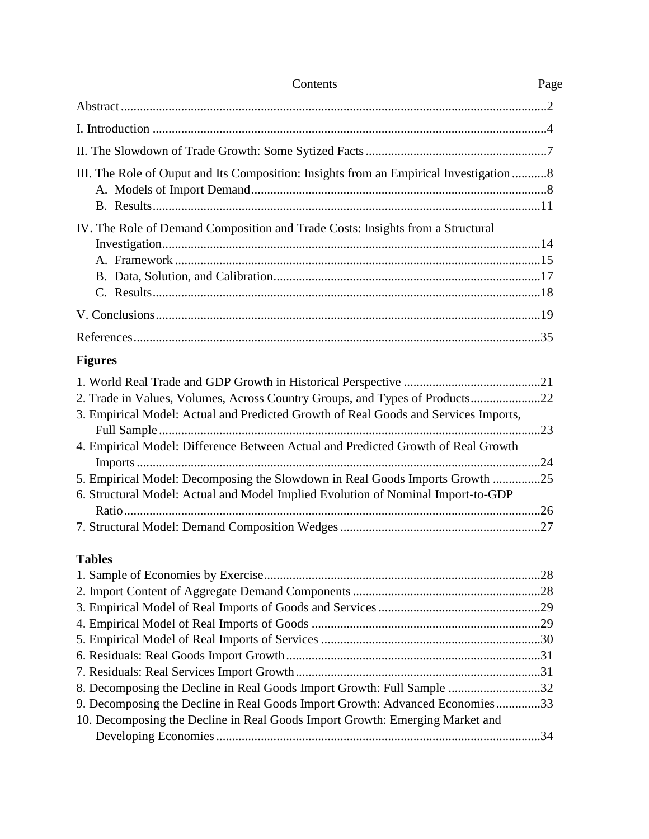| Contents                                                                                                                                                                                                                                                                                                                                                                                                                    | Page |
|-----------------------------------------------------------------------------------------------------------------------------------------------------------------------------------------------------------------------------------------------------------------------------------------------------------------------------------------------------------------------------------------------------------------------------|------|
|                                                                                                                                                                                                                                                                                                                                                                                                                             |      |
|                                                                                                                                                                                                                                                                                                                                                                                                                             |      |
|                                                                                                                                                                                                                                                                                                                                                                                                                             |      |
| III. The Role of Ouput and Its Composition: Insights from an Empirical Investigation 8                                                                                                                                                                                                                                                                                                                                      |      |
| IV. The Role of Demand Composition and Trade Costs: Insights from a Structural                                                                                                                                                                                                                                                                                                                                              |      |
|                                                                                                                                                                                                                                                                                                                                                                                                                             |      |
|                                                                                                                                                                                                                                                                                                                                                                                                                             |      |
| <b>Figures</b>                                                                                                                                                                                                                                                                                                                                                                                                              |      |
| 2. Trade in Values, Volumes, Across Country Groups, and Types of Products22<br>3. Empirical Model: Actual and Predicted Growth of Real Goods and Services Imports,<br>4. Empirical Model: Difference Between Actual and Predicted Growth of Real Growth<br>5. Empirical Model: Decomposing the Slowdown in Real Goods Imports Growth 25<br>6. Structural Model: Actual and Model Implied Evolution of Nominal Import-to-GDP | .24  |
| <b>Tables</b><br>8. Decomposing the Decline in Real Goods Import Growth: Full Sample 32<br>9. Decomposing the Decline in Real Goods Import Growth: Advanced Economies33<br>10. Decomposing the Decline in Real Goods Import Growth: Emerging Market and                                                                                                                                                                     |      |
|                                                                                                                                                                                                                                                                                                                                                                                                                             |      |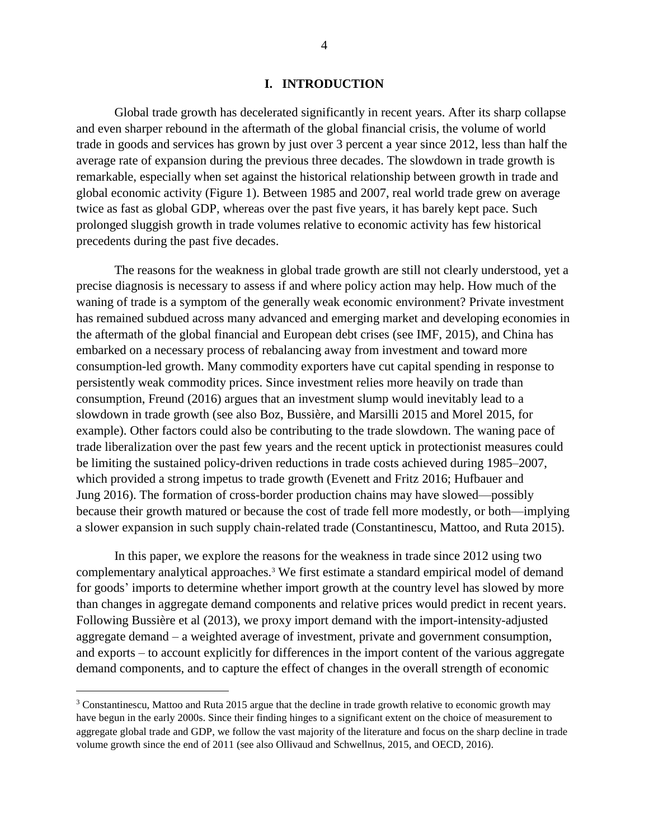#### **I. INTRODUCTION**

Global trade growth has decelerated significantly in recent years. After its sharp collapse and even sharper rebound in the aftermath of the global financial crisis, the volume of world trade in goods and services has grown by just over 3 percent a year since 2012, less than half the average rate of expansion during the previous three decades. The slowdown in trade growth is remarkable, especially when set against the historical relationship between growth in trade and global economic activity (Figure 1). Between 1985 and 2007, real world trade grew on average twice as fast as global GDP, whereas over the past five years, it has barely kept pace. Such prolonged sluggish growth in trade volumes relative to economic activity has few historical precedents during the past five decades.

The reasons for the weakness in global trade growth are still not clearly understood, yet a precise diagnosis is necessary to assess if and where policy action may help. How much of the waning of trade is a symptom of the generally weak economic environment? Private investment has remained subdued across many advanced and emerging market and developing economies in the aftermath of the global financial and European debt crises (see IMF, 2015), and China has embarked on a necessary process of rebalancing away from investment and toward more consumption-led growth. Many commodity exporters have cut capital spending in response to persistently weak commodity prices. Since investment relies more heavily on trade than consumption, Freund (2016) argues that an investment slump would inevitably lead to a slowdown in trade growth (see also Boz, Bussière, and Marsilli 2015 and Morel 2015, for example). Other factors could also be contributing to the trade slowdown. The waning pace of trade liberalization over the past few years and the recent uptick in protectionist measures could be limiting the sustained policy-driven reductions in trade costs achieved during 1985–2007, which provided a strong impetus to trade growth (Evenett and Fritz 2016; Hufbauer and Jung 2016). The formation of cross-border production chains may have slowed—possibly because their growth matured or because the cost of trade fell more modestly, or both—implying a slower expansion in such supply chain-related trade (Constantinescu, Mattoo, and Ruta 2015).

In this paper, we explore the reasons for the weakness in trade since 2012 using two complementary analytical approaches. <sup>3</sup> We first estimate a standard empirical model of demand for goods' imports to determine whether import growth at the country level has slowed by more than changes in aggregate demand components and relative prices would predict in recent years. Following Bussière et al (2013), we proxy import demand with the import-intensity-adjusted aggregate demand – a weighted average of investment, private and government consumption, and exports – to account explicitly for differences in the import content of the various aggregate demand components, and to capture the effect of changes in the overall strength of economic

<sup>&</sup>lt;sup>3</sup> Constantinescu, Mattoo and Ruta 2015 argue that the decline in trade growth relative to economic growth may have begun in the early 2000s. Since their finding hinges to a significant extent on the choice of measurement to aggregate global trade and GDP, we follow the vast majority of the literature and focus on the sharp decline in trade volume growth since the end of 2011 (see also Ollivaud and Schwellnus, 2015, and OECD, 2016).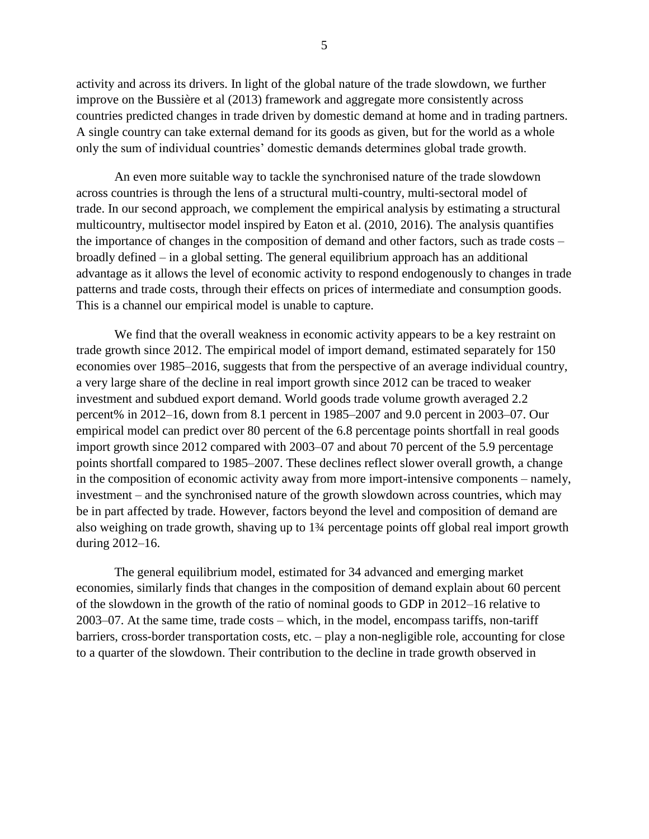activity and across its drivers. In light of the global nature of the trade slowdown, we further improve on the Bussière et al (2013) framework and aggregate more consistently across countries predicted changes in trade driven by domestic demand at home and in trading partners. A single country can take external demand for its goods as given, but for the world as a whole only the sum of individual countries' domestic demands determines global trade growth.

An even more suitable way to tackle the synchronised nature of the trade slowdown across countries is through the lens of a structural multi-country, multi-sectoral model of trade. In our second approach, we complement the empirical analysis by estimating a structural multicountry, multisector model inspired by Eaton et al. (2010, 2016). The analysis quantifies the importance of changes in the composition of demand and other factors, such as trade costs – broadly defined – in a global setting. The general equilibrium approach has an additional advantage as it allows the level of economic activity to respond endogenously to changes in trade patterns and trade costs, through their effects on prices of intermediate and consumption goods. This is a channel our empirical model is unable to capture.

We find that the overall weakness in economic activity appears to be a key restraint on trade growth since 2012. The empirical model of import demand, estimated separately for 150 economies over 1985–2016, suggests that from the perspective of an average individual country, a very large share of the decline in real import growth since 2012 can be traced to weaker investment and subdued export demand. World goods trade volume growth averaged 2.2 percent% in 2012–16, down from 8.1 percent in 1985–2007 and 9.0 percent in 2003–07. Our empirical model can predict over 80 percent of the 6.8 percentage points shortfall in real goods import growth since 2012 compared with 2003–07 and about 70 percent of the 5.9 percentage points shortfall compared to 1985–2007. These declines reflect slower overall growth, a change in the composition of economic activity away from more import-intensive components – namely, investment – and the synchronised nature of the growth slowdown across countries, which may be in part affected by trade. However, factors beyond the level and composition of demand are also weighing on trade growth, shaving up to 1¾ percentage points off global real import growth during 2012–16.

The general equilibrium model, estimated for 34 advanced and emerging market economies, similarly finds that changes in the composition of demand explain about 60 percent of the slowdown in the growth of the ratio of nominal goods to GDP in 2012–16 relative to 2003–07. At the same time, trade costs – which, in the model, encompass tariffs, non-tariff barriers, cross-border transportation costs, etc. – play a non-negligible role, accounting for close to a quarter of the slowdown. Their contribution to the decline in trade growth observed in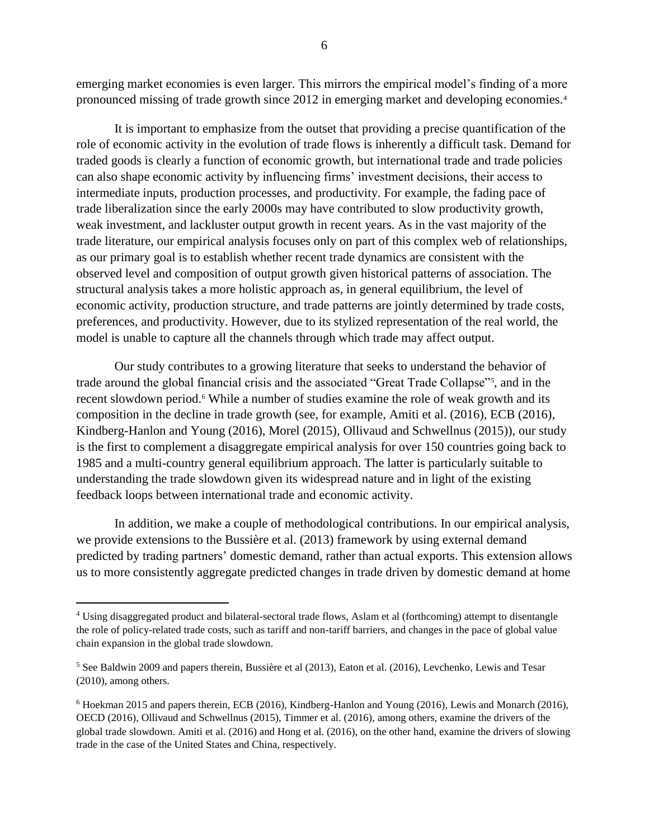emerging market economies is even larger. This mirrors the empirical model's finding of a more pronounced missing of trade growth since 2012 in emerging market and developing economies.<sup>4</sup>

It is important to emphasize from the outset that providing a precise quantification of the role of economic activity in the evolution of trade flows is inherently a difficult task. Demand for traded goods is clearly a function of economic growth, but international trade and trade policies can also shape economic activity by influencing firms' investment decisions, their access to intermediate inputs, production processes, and productivity. For example, the fading pace of trade liberalization since the early 2000s may have contributed to slow productivity growth, weak investment, and lackluster output growth in recent years. As in the vast majority of the trade literature, our empirical analysis focuses only on part of this complex web of relationships, as our primary goal is to establish whether recent trade dynamics are consistent with the observed level and composition of output growth given historical patterns of association. The structural analysis takes a more holistic approach as, in general equilibrium, the level of economic activity, production structure, and trade patterns are jointly determined by trade costs, preferences, and productivity. However, due to its stylized representation of the real world, the model is unable to capture all the channels through which trade may affect output.

Our study contributes to a growing literature that seeks to understand the behavior of trade around the global financial crisis and the associated "Great Trade Collapse"<sup>5</sup> , and in the recent slowdown period. <sup>6</sup> While a number of studies examine the role of weak growth and its composition in the decline in trade growth (see, for example, Amiti et al. (2016), ECB (2016), Kindberg-Hanlon and Young (2016), Morel (2015), Ollivaud and Schwellnus (2015)), our study is the first to complement a disaggregate empirical analysis for over 150 countries going back to 1985 and a multi-country general equilibrium approach. The latter is particularly suitable to understanding the trade slowdown given its widespread nature and in light of the existing feedback loops between international trade and economic activity.

In addition, we make a couple of methodological contributions. In our empirical analysis, we provide extensions to the Bussière et al. (2013) framework by using external demand predicted by trading partners' domestic demand, rather than actual exports. This extension allows us to more consistently aggregate predicted changes in trade driven by domestic demand at home

<sup>4</sup> Using disaggregated product and bilateral-sectoral trade flows, Aslam et al (forthcoming) attempt to disentangle the role of policy-related trade costs, such as tariff and non-tariff barriers, and changes in the pace of global value chain expansion in the global trade slowdown.

<sup>5</sup> See Baldwin 2009 and papers therein, Bussière et al (2013), Eaton et al. (2016), Levchenko, Lewis and Tesar (2010), among others.

<sup>6</sup> Hoekman 2015 and papers therein, ECB (2016), Kindberg-Hanlon and Young (2016), Lewis and Monarch (2016), OECD (2016), Ollivaud and Schwellnus (2015), Timmer et al. (2016), among others, examine the drivers of the global trade slowdown. Amiti et al. (2016) and Hong et al. (2016), on the other hand, examine the drivers of slowing trade in the case of the United States and China, respectively.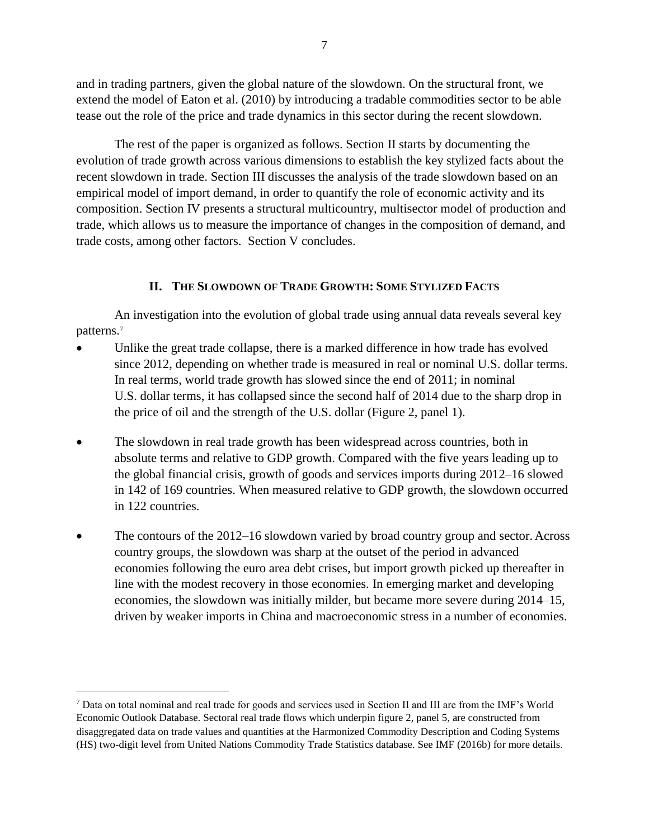and in trading partners, given the global nature of the slowdown. On the structural front, we extend the model of Eaton et al. (2010) by introducing a tradable commodities sector to be able tease out the role of the price and trade dynamics in this sector during the recent slowdown.

The rest of the paper is organized as follows. Section II starts by documenting the evolution of trade growth across various dimensions to establish the key stylized facts about the recent slowdown in trade. Section III discusses the analysis of the trade slowdown based on an empirical model of import demand, in order to quantify the role of economic activity and its composition. Section IV presents a structural multicountry, multisector model of production and trade, which allows us to measure the importance of changes in the composition of demand, and trade costs, among other factors. Section V concludes.

# **II. THE SLOWDOWN OF TRADE GROWTH: SOME STYLIZED FACTS**

An investigation into the evolution of global trade using annual data reveals several key patterns.<sup>7</sup>

- Unlike the great trade collapse, there is a marked difference in how trade has evolved since 2012, depending on whether trade is measured in real or nominal U.S. dollar terms. In real terms, world trade growth has slowed since the end of 2011; in nominal U.S. dollar terms, it has collapsed since the second half of 2014 due to the sharp drop in the price of oil and the strength of the U.S. dollar (Figure 2, panel 1).
- The slowdown in real trade growth has been widespread across countries, both in absolute terms and relative to GDP growth. Compared with the five years leading up to the global financial crisis, growth of goods and services imports during 2012–16 slowed in 142 of 169 countries. When measured relative to GDP growth, the slowdown occurred in 122 countries.
- The contours of the 2012–16 slowdown varied by broad country group and sector. Across country groups, the slowdown was sharp at the outset of the period in advanced economies following the euro area debt crises, but import growth picked up thereafter in line with the modest recovery in those economies. In emerging market and developing economies, the slowdown was initially milder, but became more severe during 2014–15, driven by weaker imports in China and macroeconomic stress in a number of economies.

<sup>7</sup> Data on total nominal and real trade for goods and services used in Section II and III are from the IMF's World Economic Outlook Database. Sectoral real trade flows which underpin figure 2, panel 5, are constructed from disaggregated data on trade values and quantities at the Harmonized Commodity Description and Coding Systems (HS) two-digit level from United Nations Commodity Trade Statistics database. See IMF (2016b) for more details.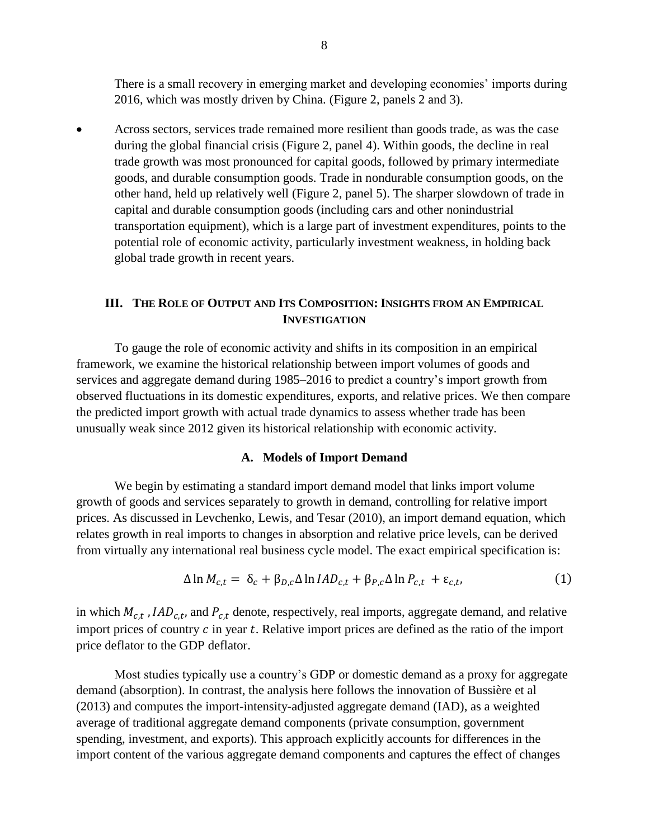There is a small recovery in emerging market and developing economies' imports during 2016, which was mostly driven by China. (Figure 2, panels 2 and 3).

• Across sectors, services trade remained more resilient than goods trade, as was the case during the global financial crisis (Figure 2, panel 4). Within goods, the decline in real trade growth was most pronounced for capital goods, followed by primary intermediate goods, and durable consumption goods. Trade in nondurable consumption goods, on the other hand, held up relatively well (Figure 2, panel 5). The sharper slowdown of trade in capital and durable consumption goods (including cars and other nonindustrial transportation equipment), which is a large part of investment expenditures, points to the potential role of economic activity, particularly investment weakness, in holding back global trade growth in recent years.

### **III. THE ROLE OF OUTPUT AND ITS COMPOSITION: INSIGHTS FROM AN EMPIRICAL INVESTIGATION**

To gauge the role of economic activity and shifts in its composition in an empirical framework, we examine the historical relationship between import volumes of goods and services and aggregate demand during 1985–2016 to predict a country's import growth from observed fluctuations in its domestic expenditures, exports, and relative prices. We then compare the predicted import growth with actual trade dynamics to assess whether trade has been unusually weak since 2012 given its historical relationship with economic activity.

#### **A. Models of Import Demand**

We begin by estimating a standard import demand model that links import volume growth of goods and services separately to growth in demand, controlling for relative import prices. As discussed in Levchenko, Lewis, and Tesar (2010), an import demand equation, which relates growth in real imports to changes in absorption and relative price levels, can be derived from virtually any international real business cycle model. The exact empirical specification is:

$$
\Delta \ln M_{c,t} = \delta_c + \beta_{D,c} \Delta \ln IAD_{c,t} + \beta_{P,c} \Delta \ln P_{c,t} + \varepsilon_{c,t},
$$
\n(1)

in which  $M_{c,t}$ , IAD<sub>c,t</sub>, and  $P_{c,t}$  denote, respectively, real imports, aggregate demand, and relative import prices of country  $c$  in year  $t$ . Relative import prices are defined as the ratio of the import price deflator to the GDP deflator.

Most studies typically use a country's GDP or domestic demand as a proxy for aggregate demand (absorption). In contrast, the analysis here follows the innovation of Bussière et al (2013) and computes the import-intensity-adjusted aggregate demand (IAD), as a weighted average of traditional aggregate demand components (private consumption, government spending, investment, and exports). This approach explicitly accounts for differences in the import content of the various aggregate demand components and captures the effect of changes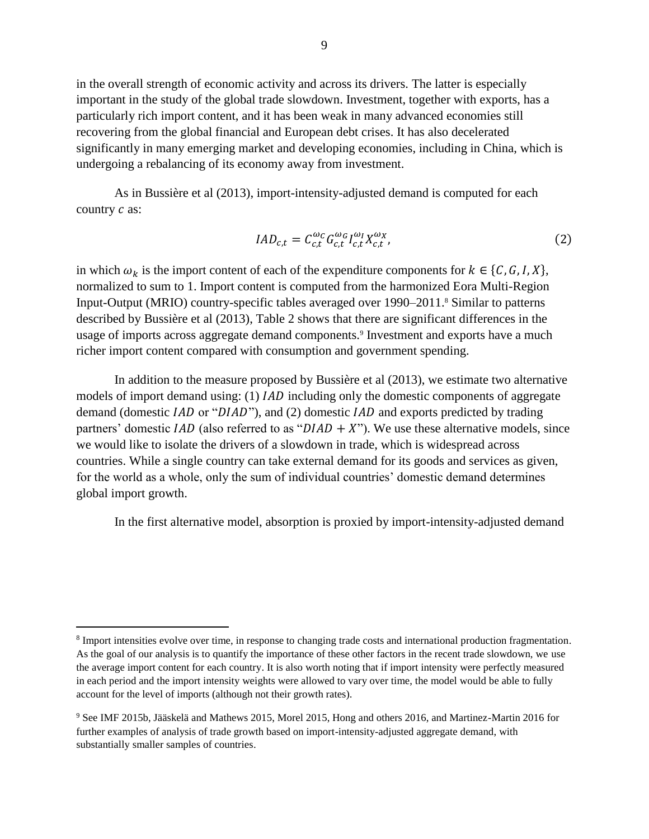in the overall strength of economic activity and across its drivers. The latter is especially important in the study of the global trade slowdown. Investment, together with exports, has a particularly rich import content, and it has been weak in many advanced economies still recovering from the global financial and European debt crises. It has also decelerated significantly in many emerging market and developing economies, including in China, which is undergoing a rebalancing of its economy away from investment.

As in Bussière et al (2013), import-intensity-adjusted demand is computed for each country  $c$  as:

$$
IAD_{c,t} = C_{c,t}^{\omega_c} G_{c,t}^{\omega_d} I_{c,t}^{\omega_l} X_{c,t}^{\omega_x},
$$
\n(2)

in which  $\omega_k$  is the import content of each of the expenditure components for  $k \in \{C, G, I, X\}$ , normalized to sum to 1. Import content is computed from the harmonized Eora Multi-Region Input-Output (MRIO) country-specific tables averaged over 1990–2011.<sup>8</sup> Similar to patterns described by Bussière et al (2013), Table 2 shows that there are significant differences in the usage of imports across aggregate demand components.<sup>9</sup> Investment and exports have a much richer import content compared with consumption and government spending.

In addition to the measure proposed by Bussière et al (2013), we estimate two alternative models of import demand using: (1) IAD including only the domestic components of aggregate demand (domestic  $IAD$  or " $DIAD$ "), and (2) domestic  $IAD$  and exports predicted by trading partners' domestic  $IAD$  (also referred to as " $DIAD + X$ "). We use these alternative models, since we would like to isolate the drivers of a slowdown in trade, which is widespread across countries. While a single country can take external demand for its goods and services as given, for the world as a whole, only the sum of individual countries' domestic demand determines global import growth.

In the first alternative model, absorption is proxied by import-intensity-adjusted demand

<sup>&</sup>lt;sup>8</sup> Import intensities evolve over time, in response to changing trade costs and international production fragmentation. As the goal of our analysis is to quantify the importance of these other factors in the recent trade slowdown, we use the average import content for each country. It is also worth noting that if import intensity were perfectly measured in each period and the import intensity weights were allowed to vary over time, the model would be able to fully account for the level of imports (although not their growth rates).

<sup>9</sup> See IMF 2015b, Jääskelä and Mathews 2015, Morel 2015, Hong and others 2016, and Martinez-Martin 2016 for further examples of analysis of trade growth based on import-intensity-adjusted aggregate demand, with substantially smaller samples of countries.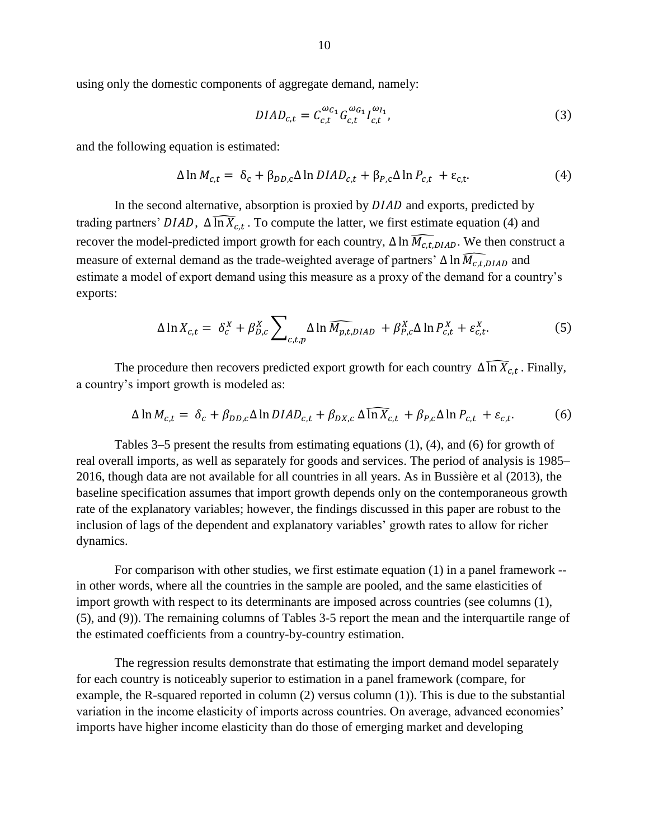using only the domestic components of aggregate demand, namely:

$$
DIAD_{c,t} = C_{c,t}^{\omega_{C_1}} G_{c,t}^{\omega_{G_1}} I_{c,t}^{\omega_{I_1}},
$$
\n(3)

and the following equation is estimated:

$$
\Delta \ln M_{c,t} = \delta_c + \beta_{DD,c} \Delta \ln D I A D_{c,t} + \beta_{P,c} \Delta \ln P_{c,t} + \varepsilon_{c,t}.
$$
\n(4)

In the second alternative, absorption is proxied by  $DIAD$  and exports, predicted by trading partners' DIAD,  $\Delta \widehat{\ln X}_{c,t}$ . To compute the latter, we first estimate equation (4) and recover the model-predicted import growth for each country,  $\Delta \ln \widehat{M_{c.t.DIAD}}$ . We then construct a measure of external demand as the trade-weighted average of partners'  $\Delta \ln \widehat{M_{c,t,DIAD}}$  and estimate a model of export demand using this measure as a proxy of the demand for a country's exports:

$$
\Delta \ln X_{c,t} = \delta_c^X + \beta_{D,c}^X \sum_{c,t,p} \Delta \ln \widehat{M_{p,t,DIAD}} + \beta_{P,c}^X \Delta \ln P_{c,t}^X + \varepsilon_{c,t}^X. \tag{5}
$$

The procedure then recovers predicted export growth for each country  $\Delta \widehat{\ln X}_{c,t}$ . Finally, a country's import growth is modeled as:

$$
\Delta \ln M_{c,t} = \delta_c + \beta_{DD,c} \Delta \ln D I A D_{c,t} + \beta_{DX,c} \Delta \widehat{\ln X}_{c,t} + \beta_{P,c} \Delta \ln P_{c,t} + \varepsilon_{c,t}.
$$
 (6)

Tables 3–5 present the results from estimating equations (1), (4), and (6) for growth of real overall imports, as well as separately for goods and services. The period of analysis is 1985– 2016, though data are not available for all countries in all years. As in Bussière et al (2013), the baseline specification assumes that import growth depends only on the contemporaneous growth rate of the explanatory variables; however, the findings discussed in this paper are robust to the inclusion of lags of the dependent and explanatory variables' growth rates to allow for richer dynamics.

For comparison with other studies, we first estimate equation (1) in a panel framework - in other words, where all the countries in the sample are pooled, and the same elasticities of import growth with respect to its determinants are imposed across countries (see columns (1), (5), and (9)). The remaining columns of Tables 3-5 report the mean and the interquartile range of the estimated coefficients from a country-by-country estimation.

The regression results demonstrate that estimating the import demand model separately for each country is noticeably superior to estimation in a panel framework (compare, for example, the R-squared reported in column (2) versus column (1)). This is due to the substantial variation in the income elasticity of imports across countries. On average, advanced economies' imports have higher income elasticity than do those of emerging market and developing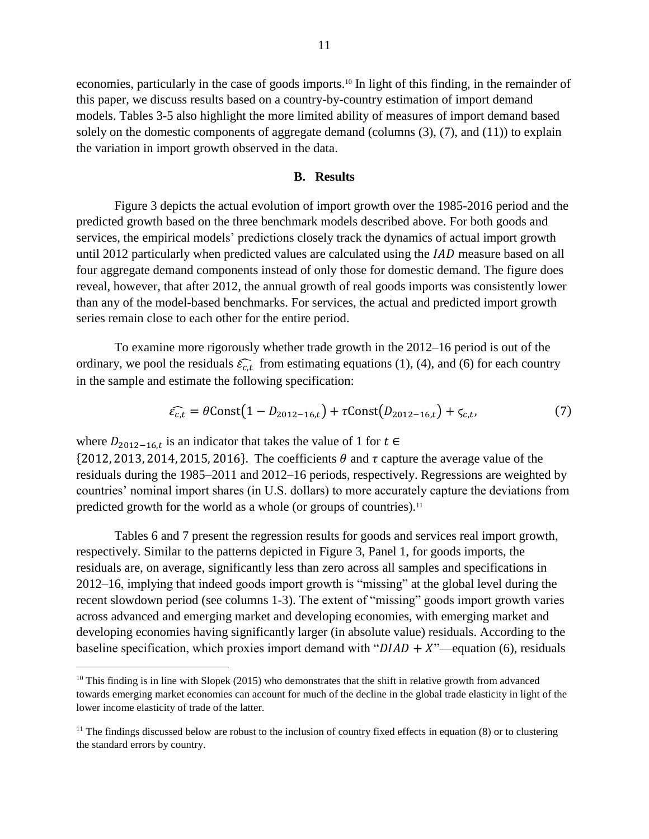economies, particularly in the case of goods imports.<sup>10</sup> In light of this finding, in the remainder of this paper, we discuss results based on a country-by-country estimation of import demand models. Tables 3-5 also highlight the more limited ability of measures of import demand based solely on the domestic components of aggregate demand (columns (3), (7), and (11)) to explain the variation in import growth observed in the data.

#### **B. Results**

Figure 3 depicts the actual evolution of import growth over the 1985-2016 period and the predicted growth based on the three benchmark models described above. For both goods and services, the empirical models' predictions closely track the dynamics of actual import growth until 2012 particularly when predicted values are calculated using the  $IAD$  measure based on all four aggregate demand components instead of only those for domestic demand. The figure does reveal, however, that after 2012, the annual growth of real goods imports was consistently lower than any of the model-based benchmarks. For services, the actual and predicted import growth series remain close to each other for the entire period.

To examine more rigorously whether trade growth in the 2012–16 period is out of the ordinary, we pool the residuals  $\hat{\epsilon}_{c,t}$  from estimating equations (1), (4), and (6) for each country in the sample and estimate the following specification:

$$
\widehat{\varepsilon_{c,t}} = \theta \text{Const}(1 - D_{2012 - 16,t}) + \tau \text{Const}(D_{2012 - 16,t}) + \varsigma_{c,t},\tag{7}
$$

where  $D_{2012-16,t}$  is an indicator that takes the value of 1 for  $t \in$ 

 $\overline{a}$ 

 $\{2012, 2013, 2014, 2015, 2016\}$ . The coefficients  $\theta$  and  $\tau$  capture the average value of the residuals during the 1985–2011 and 2012–16 periods, respectively. Regressions are weighted by countries' nominal import shares (in U.S. dollars) to more accurately capture the deviations from predicted growth for the world as a whole (or groups of countries).<sup>11</sup>

Tables 6 and 7 present the regression results for goods and services real import growth, respectively. Similar to the patterns depicted in Figure 3, Panel 1, for goods imports, the residuals are, on average, significantly less than zero across all samples and specifications in 2012–16, implying that indeed goods import growth is "missing" at the global level during the recent slowdown period (see columns 1-3). The extent of "missing" goods import growth varies across advanced and emerging market and developing economies, with emerging market and developing economies having significantly larger (in absolute value) residuals. According to the baseline specification, which proxies import demand with " $DIAD + X$ "—equation (6), residuals

 $10$  This finding is in line with Slopek (2015) who demonstrates that the shift in relative growth from advanced towards emerging market economies can account for much of the decline in the global trade elasticity in light of the lower income elasticity of trade of the latter.

 $11$  The findings discussed below are robust to the inclusion of country fixed effects in equation (8) or to clustering the standard errors by country.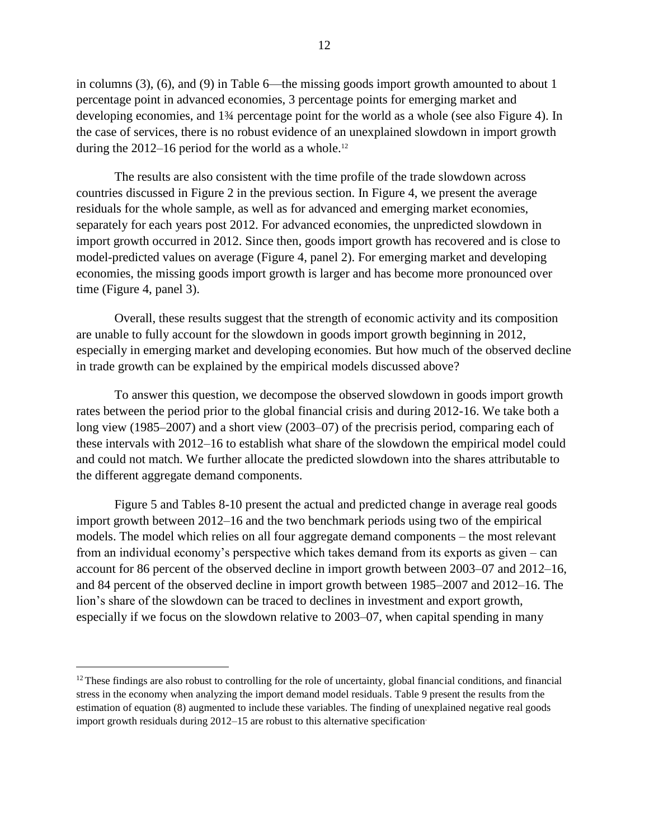in columns (3), (6), and (9) in Table 6—the missing goods import growth amounted to about 1 percentage point in advanced economies, 3 percentage points for emerging market and developing economies, and 1¾ percentage point for the world as a whole (see also Figure 4). In the case of services, there is no robust evidence of an unexplained slowdown in import growth during the  $2012-16$  period for the world as a whole.<sup>12</sup>

The results are also consistent with the time profile of the trade slowdown across countries discussed in Figure 2 in the previous section. In Figure 4, we present the average residuals for the whole sample, as well as for advanced and emerging market economies, separately for each years post 2012. For advanced economies, the unpredicted slowdown in import growth occurred in 2012. Since then, goods import growth has recovered and is close to model-predicted values on average (Figure 4, panel 2). For emerging market and developing economies, the missing goods import growth is larger and has become more pronounced over time (Figure 4, panel 3).

Overall, these results suggest that the strength of economic activity and its composition are unable to fully account for the slowdown in goods import growth beginning in 2012, especially in emerging market and developing economies. But how much of the observed decline in trade growth can be explained by the empirical models discussed above?

To answer this question, we decompose the observed slowdown in goods import growth rates between the period prior to the global financial crisis and during 2012-16. We take both a long view (1985–2007) and a short view (2003–07) of the precrisis period, comparing each of these intervals with 2012–16 to establish what share of the slowdown the empirical model could and could not match. We further allocate the predicted slowdown into the shares attributable to the different aggregate demand components.

Figure 5 and Tables 8-10 present the actual and predicted change in average real goods import growth between 2012–16 and the two benchmark periods using two of the empirical models. The model which relies on all four aggregate demand components – the most relevant from an individual economy's perspective which takes demand from its exports as given – can account for 86 percent of the observed decline in import growth between 2003–07 and 2012–16, and 84 percent of the observed decline in import growth between 1985–2007 and 2012–16. The lion's share of the slowdown can be traced to declines in investment and export growth, especially if we focus on the slowdown relative to 2003–07, when capital spending in many

 $12$  These findings are also robust to controlling for the role of uncertainty, global financial conditions, and financial stress in the economy when analyzing the import demand model residuals. Table 9 present the results from the estimation of equation (8) augmented to include these variables. The finding of unexplained negative real goods import growth residuals during 2012–15 are robust to this alternative specification.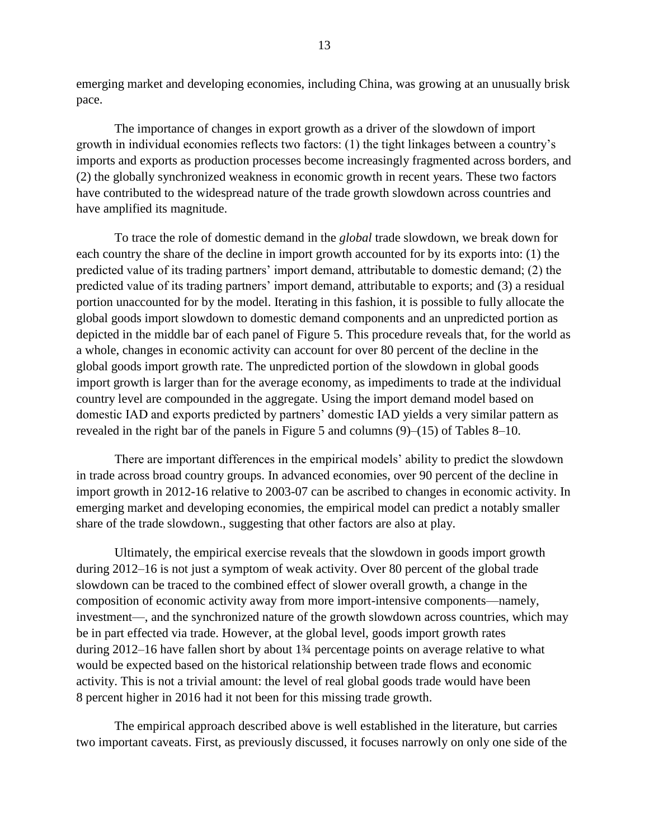emerging market and developing economies, including China, was growing at an unusually brisk pace.

The importance of changes in export growth as a driver of the slowdown of import growth in individual economies reflects two factors: (1) the tight linkages between a country's imports and exports as production processes become increasingly fragmented across borders, and (2) the globally synchronized weakness in economic growth in recent years. These two factors have contributed to the widespread nature of the trade growth slowdown across countries and have amplified its magnitude.

To trace the role of domestic demand in the *global* trade slowdown, we break down for each country the share of the decline in import growth accounted for by its exports into: (1) the predicted value of its trading partners' import demand, attributable to domestic demand; (2) the predicted value of its trading partners' import demand, attributable to exports; and (3) a residual portion unaccounted for by the model. Iterating in this fashion, it is possible to fully allocate the global goods import slowdown to domestic demand components and an unpredicted portion as depicted in the middle bar of each panel of Figure 5. This procedure reveals that, for the world as a whole, changes in economic activity can account for over 80 percent of the decline in the global goods import growth rate. The unpredicted portion of the slowdown in global goods import growth is larger than for the average economy, as impediments to trade at the individual country level are compounded in the aggregate. Using the import demand model based on domestic IAD and exports predicted by partners' domestic IAD yields a very similar pattern as revealed in the right bar of the panels in Figure 5 and columns (9)–(15) of Tables 8–10.

There are important differences in the empirical models' ability to predict the slowdown in trade across broad country groups. In advanced economies, over 90 percent of the decline in import growth in 2012-16 relative to 2003-07 can be ascribed to changes in economic activity. In emerging market and developing economies, the empirical model can predict a notably smaller share of the trade slowdown., suggesting that other factors are also at play.

Ultimately, the empirical exercise reveals that the slowdown in goods import growth during 2012–16 is not just a symptom of weak activity. Over 80 percent of the global trade slowdown can be traced to the combined effect of slower overall growth, a change in the composition of economic activity away from more import-intensive components—namely, investment—, and the synchronized nature of the growth slowdown across countries, which may be in part effected via trade. However, at the global level, goods import growth rates during 2012–16 have fallen short by about 1¾ percentage points on average relative to what would be expected based on the historical relationship between trade flows and economic activity. This is not a trivial amount: the level of real global goods trade would have been 8 percent higher in 2016 had it not been for this missing trade growth.

The empirical approach described above is well established in the literature, but carries two important caveats. First, as previously discussed, it focuses narrowly on only one side of the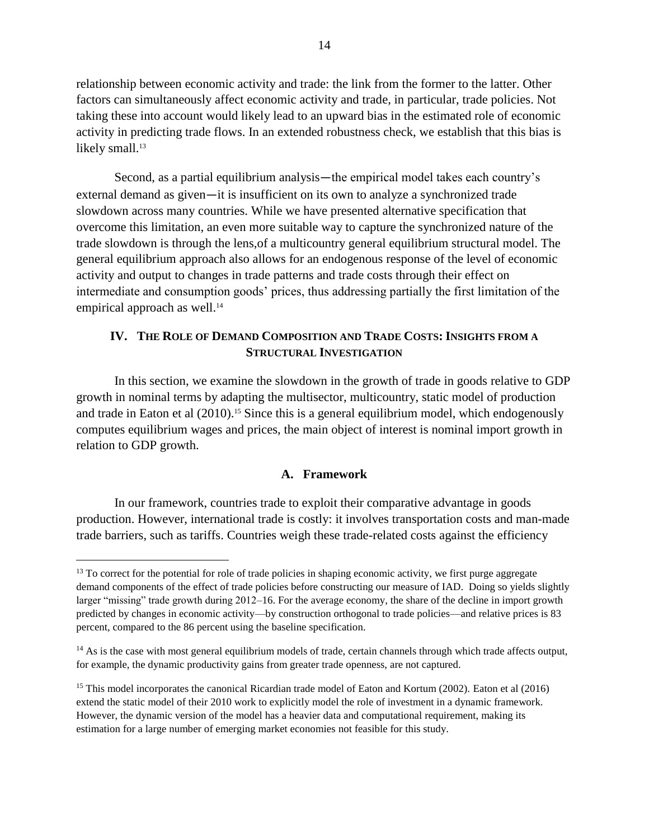relationship between economic activity and trade: the link from the former to the latter. Other factors can simultaneously affect economic activity and trade, in particular, trade policies. Not taking these into account would likely lead to an upward bias in the estimated role of economic activity in predicting trade flows. In an extended robustness check, we establish that this bias is likely small.<sup>13</sup>

Second, as a partial equilibrium analysis—the empirical model takes each country's external demand as given—it is insufficient on its own to analyze a synchronized trade slowdown across many countries. While we have presented alternative specification that overcome this limitation, an even more suitable way to capture the synchronized nature of the trade slowdown is through the lens,of a multicountry general equilibrium structural model. The general equilibrium approach also allows for an endogenous response of the level of economic activity and output to changes in trade patterns and trade costs through their effect on intermediate and consumption goods' prices, thus addressing partially the first limitation of the empirical approach as well.<sup>14</sup>

# **IV. THE ROLE OF DEMAND COMPOSITION AND TRADE COSTS: INSIGHTS FROM A STRUCTURAL INVESTIGATION**

In this section, we examine the slowdown in the growth of trade in goods relative to GDP growth in nominal terms by adapting the multisector, multicountry, static model of production and trade in Eaton et al (2010). <sup>15</sup> Since this is a general equilibrium model, which endogenously computes equilibrium wages and prices, the main object of interest is nominal import growth in relation to GDP growth.

## **A. Framework**

In our framework, countries trade to exploit their comparative advantage in goods production. However, international trade is costly: it involves transportation costs and man-made trade barriers, such as tariffs. Countries weigh these trade-related costs against the efficiency

 $13$  To correct for the potential for role of trade policies in shaping economic activity, we first purge aggregate demand components of the effect of trade policies before constructing our measure of IAD. Doing so yields slightly larger "missing" trade growth during 2012–16. For the average economy, the share of the decline in import growth predicted by changes in economic activity—by construction orthogonal to trade policies—and relative prices is 83 percent, compared to the 86 percent using the baseline specification.

 $14$  As is the case with most general equilibrium models of trade, certain channels through which trade affects output, for example, the dynamic productivity gains from greater trade openness, are not captured.

<sup>&</sup>lt;sup>15</sup> This model incorporates the canonical Ricardian trade model of Eaton and Kortum (2002). Eaton et al (2016) extend the static model of their 2010 work to explicitly model the role of investment in a dynamic framework. However, the dynamic version of the model has a heavier data and computational requirement, making its estimation for a large number of emerging market economies not feasible for this study.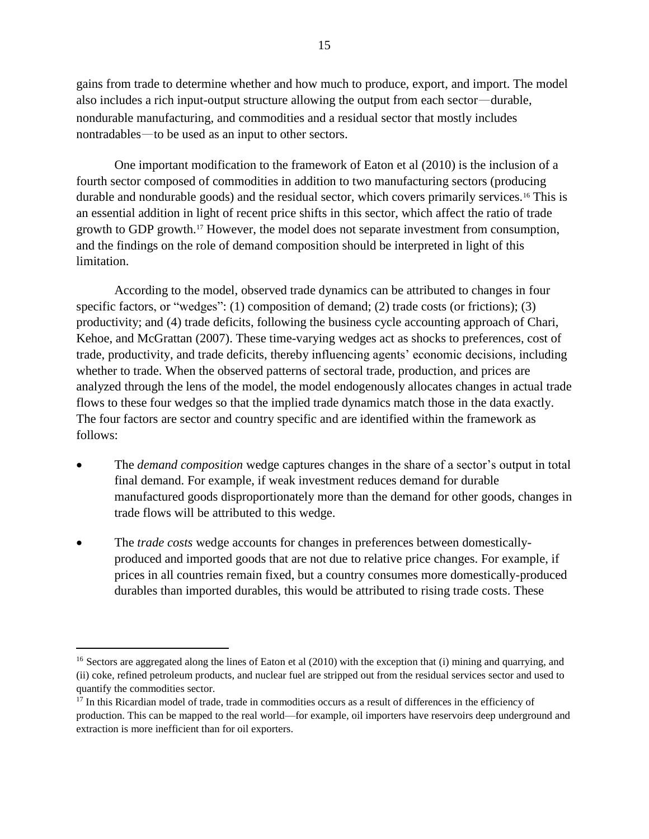gains from trade to determine whether and how much to produce, export, and import. The model also includes a rich input-output structure allowing the output from each sector—durable, nondurable manufacturing, and commodities and a residual sector that mostly includes nontradables—to be used as an input to other sectors.

One important modification to the framework of Eaton et al (2010) is the inclusion of a fourth sector composed of commodities in addition to two manufacturing sectors (producing durable and nondurable goods) and the residual sector, which covers primarily services.<sup>16</sup> This is an essential addition in light of recent price shifts in this sector, which affect the ratio of trade growth to GDP growth.<sup>17</sup> However, the model does not separate investment from consumption, and the findings on the role of demand composition should be interpreted in light of this limitation.

According to the model, observed trade dynamics can be attributed to changes in four specific factors, or "wedges": (1) composition of demand; (2) trade costs (or frictions); (3) productivity; and (4) trade deficits, following the business cycle accounting approach of Chari, Kehoe, and McGrattan (2007). These time-varying wedges act as shocks to preferences, cost of trade, productivity, and trade deficits, thereby influencing agents' economic decisions, including whether to trade. When the observed patterns of sectoral trade, production, and prices are analyzed through the lens of the model, the model endogenously allocates changes in actual trade flows to these four wedges so that the implied trade dynamics match those in the data exactly. The four factors are sector and country specific and are identified within the framework as follows:

- The *demand composition* wedge captures changes in the share of a sector's output in total final demand. For example, if weak investment reduces demand for durable manufactured goods disproportionately more than the demand for other goods, changes in trade flows will be attributed to this wedge.
- The *trade costs* wedge accounts for changes in preferences between domesticallyproduced and imported goods that are not due to relative price changes. For example, if prices in all countries remain fixed, but a country consumes more domestically-produced durables than imported durables, this would be attributed to rising trade costs. These

<sup>&</sup>lt;sup>16</sup> Sectors are aggregated along the lines of Eaton et al (2010) with the exception that (i) mining and quarrying, and (ii) coke, refined petroleum products, and nuclear fuel are stripped out from the residual services sector and used to quantify the commodities sector.

<sup>&</sup>lt;sup>17</sup> In this Ricardian model of trade, trade in commodities occurs as a result of differences in the efficiency of production. This can be mapped to the real world—for example, oil importers have reservoirs deep underground and extraction is more inefficient than for oil exporters.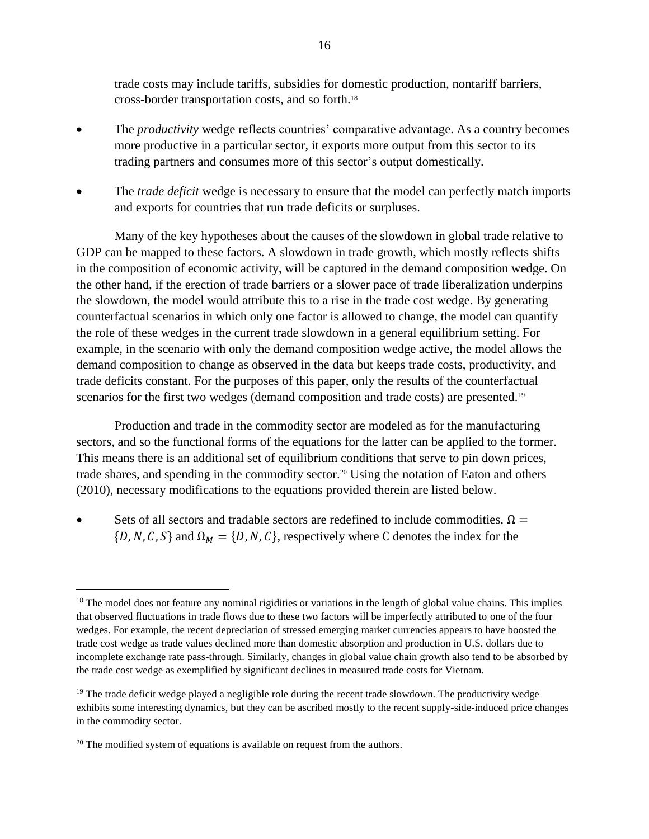trade costs may include tariffs, subsidies for domestic production, nontariff barriers, cross-border transportation costs, and so forth. 18

- The *productivity* wedge reflects countries' comparative advantage. As a country becomes more productive in a particular sector, it exports more output from this sector to its trading partners and consumes more of this sector's output domestically.
- The *trade deficit* wedge is necessary to ensure that the model can perfectly match imports and exports for countries that run trade deficits or surpluses.

Many of the key hypotheses about the causes of the slowdown in global trade relative to GDP can be mapped to these factors. A slowdown in trade growth, which mostly reflects shifts in the composition of economic activity, will be captured in the demand composition wedge. On the other hand, if the erection of trade barriers or a slower pace of trade liberalization underpins the slowdown, the model would attribute this to a rise in the trade cost wedge. By generating counterfactual scenarios in which only one factor is allowed to change, the model can quantify the role of these wedges in the current trade slowdown in a general equilibrium setting. For example, in the scenario with only the demand composition wedge active, the model allows the demand composition to change as observed in the data but keeps trade costs, productivity, and trade deficits constant. For the purposes of this paper, only the results of the counterfactual scenarios for the first two wedges (demand composition and trade costs) are presented.<sup>19</sup>

Production and trade in the commodity sector are modeled as for the manufacturing sectors, and so the functional forms of the equations for the latter can be applied to the former. This means there is an additional set of equilibrium conditions that serve to pin down prices, trade shares, and spending in the commodity sector.<sup>20</sup> Using the notation of Eaton and others (2010), necessary modifications to the equations provided therein are listed below.

Sets of all sectors and tradable sectors are redefined to include commodities,  $\Omega =$  $\{D, N, C, S\}$  and  $\Omega_M = \{D, N, C\}$ , respectively where C denotes the index for the

 $18$  The model does not feature any nominal rigidities or variations in the length of global value chains. This implies that observed fluctuations in trade flows due to these two factors will be imperfectly attributed to one of the four wedges. For example, the recent depreciation of stressed emerging market currencies appears to have boosted the trade cost wedge as trade values declined more than domestic absorption and production in U.S. dollars due to incomplete exchange rate pass-through. Similarly, changes in global value chain growth also tend to be absorbed by the trade cost wedge as exemplified by significant declines in measured trade costs for Vietnam.

<sup>&</sup>lt;sup>19</sup> The trade deficit wedge played a negligible role during the recent trade slowdown. The productivity wedge exhibits some interesting dynamics, but they can be ascribed mostly to the recent supply-side-induced price changes in the commodity sector.

 $20$  The modified system of equations is available on request from the authors.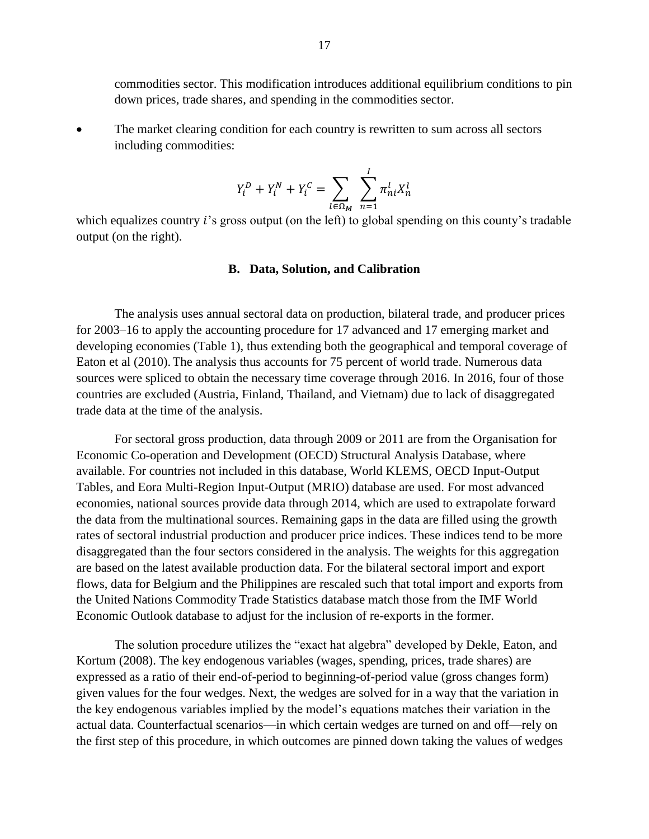commodities sector. This modification introduces additional equilibrium conditions to pin down prices, trade shares, and spending in the commodities sector.

• The market clearing condition for each country is rewritten to sum across all sectors including commodities:

$$
Y_i^D + Y_i^N + Y_i^C = \sum_{l \in \Omega_M} \sum_{n=1}^l \pi_{ni}^l X_n^l
$$

which equalizes country  $i$ 's gross output (on the left) to global spending on this county's tradable output (on the right).

#### **B. Data, Solution, and Calibration**

The analysis uses annual sectoral data on production, bilateral trade, and producer prices for 2003–16 to apply the accounting procedure for 17 advanced and 17 emerging market and developing economies (Table 1), thus extending both the geographical and temporal coverage of Eaton et al (2010). The analysis thus accounts for 75 percent of world trade. Numerous data sources were spliced to obtain the necessary time coverage through 2016. In 2016, four of those countries are excluded (Austria, Finland, Thailand, and Vietnam) due to lack of disaggregated trade data at the time of the analysis.

For sectoral gross production, data through 2009 or 2011 are from the Organisation for Economic Co-operation and Development (OECD) Structural Analysis Database, where available. For countries not included in this database, World KLEMS, OECD Input-Output Tables, and Eora Multi-Region Input-Output (MRIO) database are used. For most advanced economies, national sources provide data through 2014, which are used to extrapolate forward the data from the multinational sources. Remaining gaps in the data are filled using the growth rates of sectoral industrial production and producer price indices. These indices tend to be more disaggregated than the four sectors considered in the analysis. The weights for this aggregation are based on the latest available production data. For the bilateral sectoral import and export flows, data for Belgium and the Philippines are rescaled such that total import and exports from the United Nations Commodity Trade Statistics database match those from the IMF World Economic Outlook database to adjust for the inclusion of re-exports in the former.

The solution procedure utilizes the "exact hat algebra" developed by Dekle, Eaton, and Kortum (2008). The key endogenous variables (wages, spending, prices, trade shares) are expressed as a ratio of their end-of-period to beginning-of-period value (gross changes form) given values for the four wedges. Next, the wedges are solved for in a way that the variation in the key endogenous variables implied by the model's equations matches their variation in the actual data. Counterfactual scenarios—in which certain wedges are turned on and off—rely on the first step of this procedure, in which outcomes are pinned down taking the values of wedges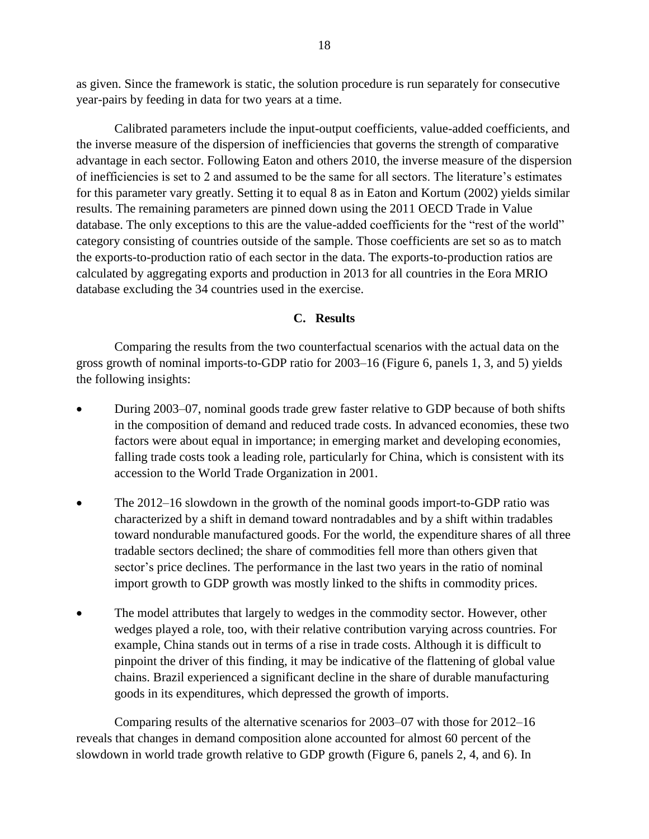as given. Since the framework is static, the solution procedure is run separately for consecutive year-pairs by feeding in data for two years at a time.

Calibrated parameters include the input-output coefficients, value-added coefficients, and the inverse measure of the dispersion of inefficiencies that governs the strength of comparative advantage in each sector. Following Eaton and others 2010, the inverse measure of the dispersion of inefficiencies is set to 2 and assumed to be the same for all sectors. The literature's estimates for this parameter vary greatly. Setting it to equal 8 as in Eaton and Kortum (2002) yields similar results. The remaining parameters are pinned down using the 2011 OECD Trade in Value database. The only exceptions to this are the value-added coefficients for the "rest of the world" category consisting of countries outside of the sample. Those coefficients are set so as to match the exports-to-production ratio of each sector in the data. The exports-to-production ratios are calculated by aggregating exports and production in 2013 for all countries in the Eora MRIO database excluding the 34 countries used in the exercise.

# **C. Results**

Comparing the results from the two counterfactual scenarios with the actual data on the gross growth of nominal imports-to-GDP ratio for 2003–16 (Figure 6, panels 1, 3, and 5) yields the following insights:

- During 2003–07, nominal goods trade grew faster relative to GDP because of both shifts in the composition of demand and reduced trade costs. In advanced economies, these two factors were about equal in importance; in emerging market and developing economies, falling trade costs took a leading role, particularly for China, which is consistent with its accession to the World Trade Organization in 2001.
- The 2012–16 slowdown in the growth of the nominal goods import-to-GDP ratio was characterized by a shift in demand toward nontradables and by a shift within tradables toward nondurable manufactured goods. For the world, the expenditure shares of all three tradable sectors declined; the share of commodities fell more than others given that sector's price declines. The performance in the last two years in the ratio of nominal import growth to GDP growth was mostly linked to the shifts in commodity prices.
- The model attributes that largely to wedges in the commodity sector. However, other wedges played a role, too, with their relative contribution varying across countries. For example, China stands out in terms of a rise in trade costs. Although it is difficult to pinpoint the driver of this finding, it may be indicative of the flattening of global value chains. Brazil experienced a significant decline in the share of durable manufacturing goods in its expenditures, which depressed the growth of imports.

Comparing results of the alternative scenarios for 2003–07 with those for 2012–16 reveals that changes in demand composition alone accounted for almost 60 percent of the slowdown in world trade growth relative to GDP growth (Figure 6, panels 2, 4, and 6). In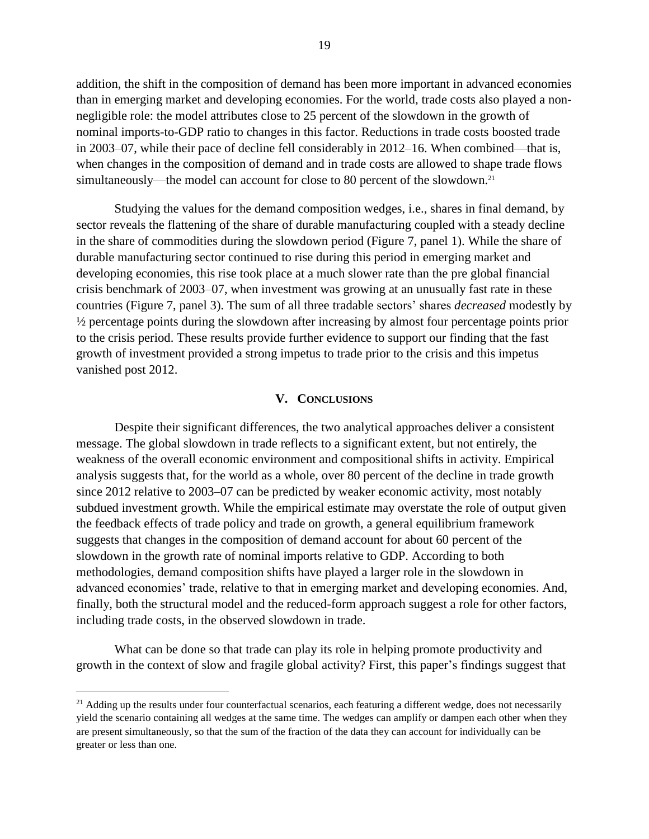addition, the shift in the composition of demand has been more important in advanced economies than in emerging market and developing economies. For the world, trade costs also played a nonnegligible role: the model attributes close to 25 percent of the slowdown in the growth of nominal imports-to-GDP ratio to changes in this factor. Reductions in trade costs boosted trade in 2003–07, while their pace of decline fell considerably in 2012–16. When combined—that is, when changes in the composition of demand and in trade costs are allowed to shape trade flows simultaneously—the model can account for close to 80 percent of the slowdown.<sup>21</sup>

Studying the values for the demand composition wedges, i.e., shares in final demand, by sector reveals the flattening of the share of durable manufacturing coupled with a steady decline in the share of commodities during the slowdown period (Figure 7, panel 1). While the share of durable manufacturing sector continued to rise during this period in emerging market and developing economies, this rise took place at a much slower rate than the pre global financial crisis benchmark of 2003–07, when investment was growing at an unusually fast rate in these countries (Figure 7, panel 3). The sum of all three tradable sectors' shares *decreased* modestly by ½ percentage points during the slowdown after increasing by almost four percentage points prior to the crisis period. These results provide further evidence to support our finding that the fast growth of investment provided a strong impetus to trade prior to the crisis and this impetus vanished post 2012.

#### **V. CONCLUSIONS**

Despite their significant differences, the two analytical approaches deliver a consistent message. The global slowdown in trade reflects to a significant extent, but not entirely, the weakness of the overall economic environment and compositional shifts in activity. Empirical analysis suggests that, for the world as a whole, over 80 percent of the decline in trade growth since 2012 relative to 2003–07 can be predicted by weaker economic activity, most notably subdued investment growth. While the empirical estimate may overstate the role of output given the feedback effects of trade policy and trade on growth, a general equilibrium framework suggests that changes in the composition of demand account for about 60 percent of the slowdown in the growth rate of nominal imports relative to GDP. According to both methodologies, demand composition shifts have played a larger role in the slowdown in advanced economies' trade, relative to that in emerging market and developing economies. And, finally, both the structural model and the reduced-form approach suggest a role for other factors, including trade costs, in the observed slowdown in trade.

What can be done so that trade can play its role in helping promote productivity and growth in the context of slow and fragile global activity? First, this paper's findings suggest that

<sup>&</sup>lt;sup>21</sup> Adding up the results under four counterfactual scenarios, each featuring a different wedge, does not necessarily yield the scenario containing all wedges at the same time. The wedges can amplify or dampen each other when they are present simultaneously, so that the sum of the fraction of the data they can account for individually can be greater or less than one.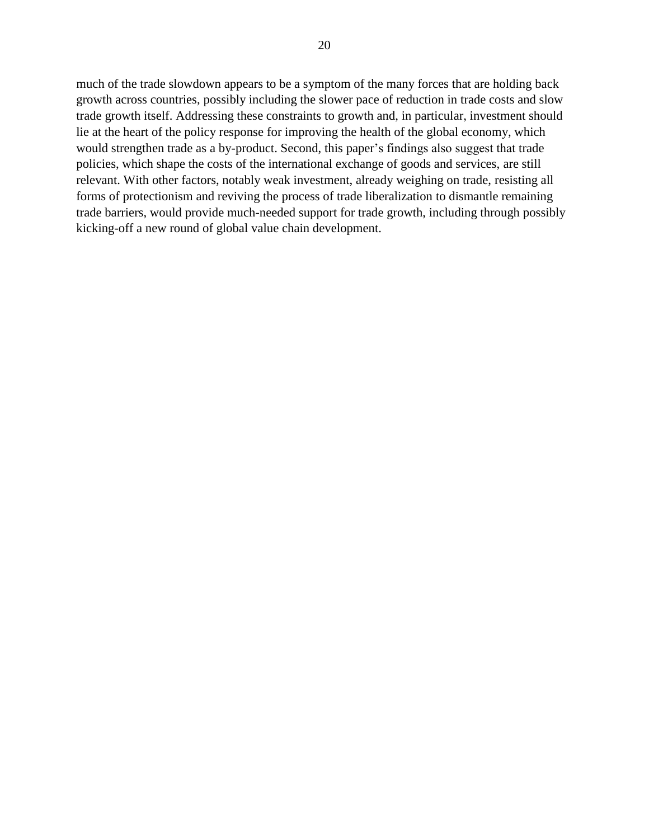much of the trade slowdown appears to be a symptom of the many forces that are holding back growth across countries, possibly including the slower pace of reduction in trade costs and slow trade growth itself. Addressing these constraints to growth and, in particular, investment should lie at the heart of the policy response for improving the health of the global economy, which would strengthen trade as a by-product. Second, this paper's findings also suggest that trade policies, which shape the costs of the international exchange of goods and services, are still relevant. With other factors, notably weak investment, already weighing on trade, resisting all forms of protectionism and reviving the process of trade liberalization to dismantle remaining trade barriers, would provide much-needed support for trade growth, including through possibly kicking-off a new round of global value chain development.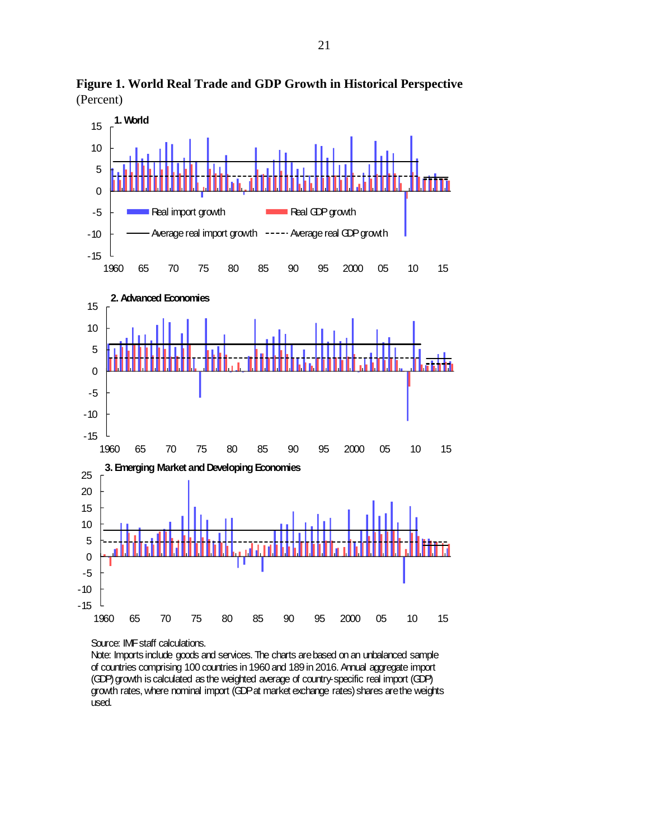

**Figure 1. World Real Trade and GDP Growth in Historical Perspective**  (Percent)

Source: IMF staff calculations.

Note: Imports include goods and services. The charts are based on an unbalanced sample of countries comprising 100 countries in 1960 and 189 in 2016. Annual aggregate import (GDP) growth is calculated as the weighted average of country-specific real import (GDP) growth rates, where nominal import (GDP at market exchange rates) shares are the weights used.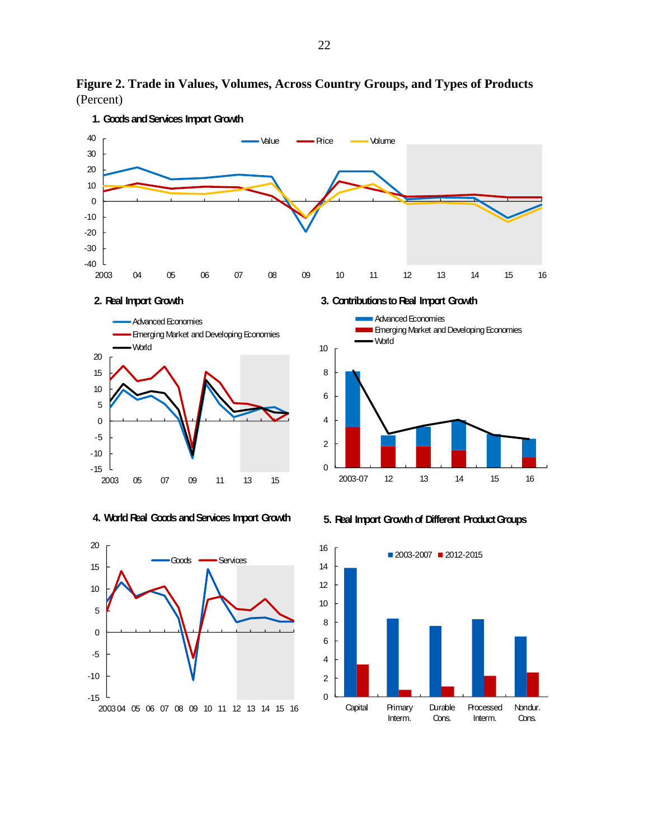

Interm.

Cons.

Interm.

Cons.

**Figure 2. Trade in Values, Volumes, Across Country Groups, and Types of Products**  (Percent)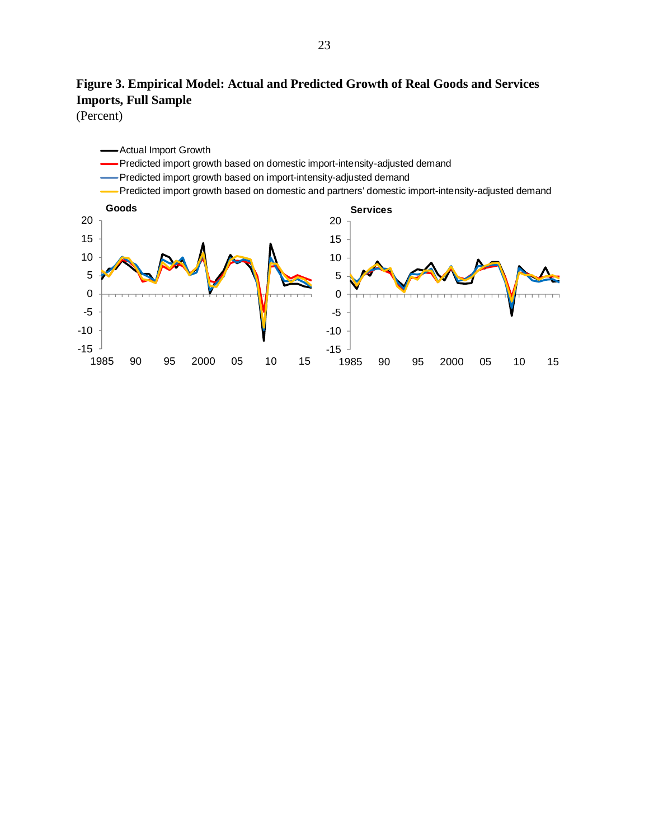# **Figure 3. Empirical Model: Actual and Predicted Growth of Real Goods and Services Imports, Full Sample**

(Percent)

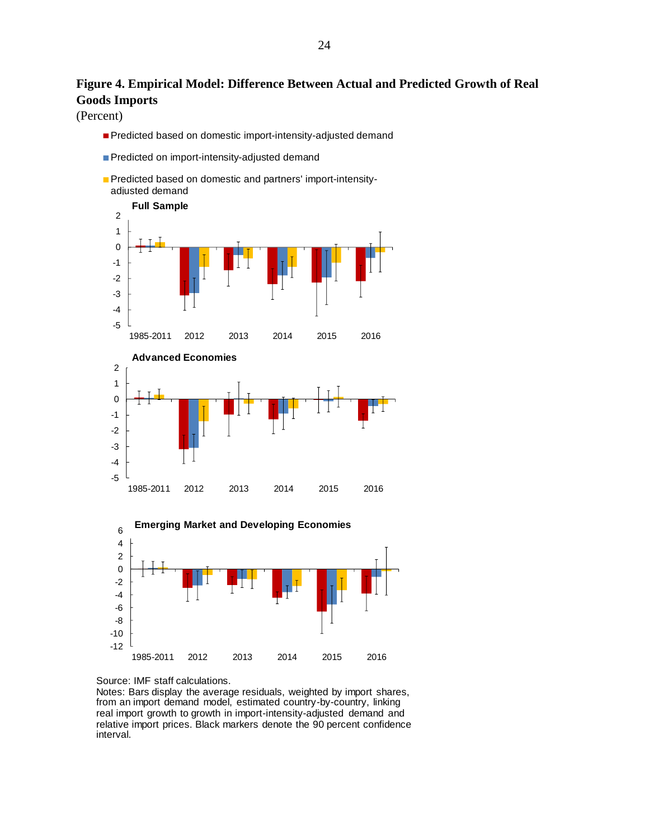# **Figure 4. Empirical Model: Difference Between Actual and Predicted Growth of Real Goods Imports**

(Percent)

- Predicted based on domestic import-intensity-adjusted demand
- Predicted on import-intensity-adjusted demand
- **Predicted based on domestic and partners' import-intensity**adiusted demand





#### Source: IMF staff calculations.

Notes: Bars display the average residuals, weighted by import shares, from an import demand model, estimated country-by-country, linking real import growth to growth in import-intensity-adjusted demand and relative import prices. Black markers denote the 90 percent confidence interval.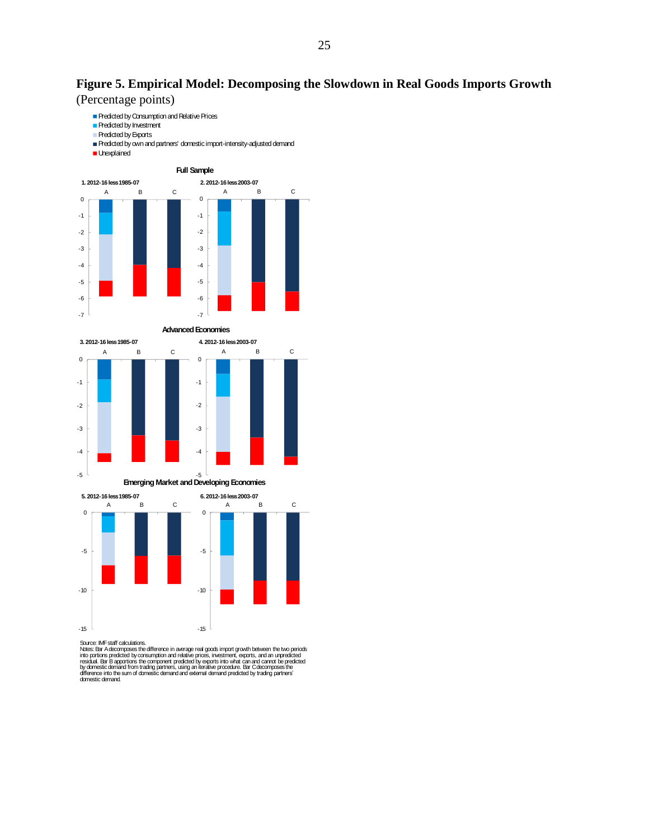# **Figure 5. Empirical Model: Decomposing the Slowdown in Real Goods Imports Growth**

(Percentage points)



Source: IMF staff calculations<br>hOtes: Bar Adecomposes the difference in average real goods import growth between the two periods<br>into portions predicted by consumption and relative prices, investment, exports, and an unpre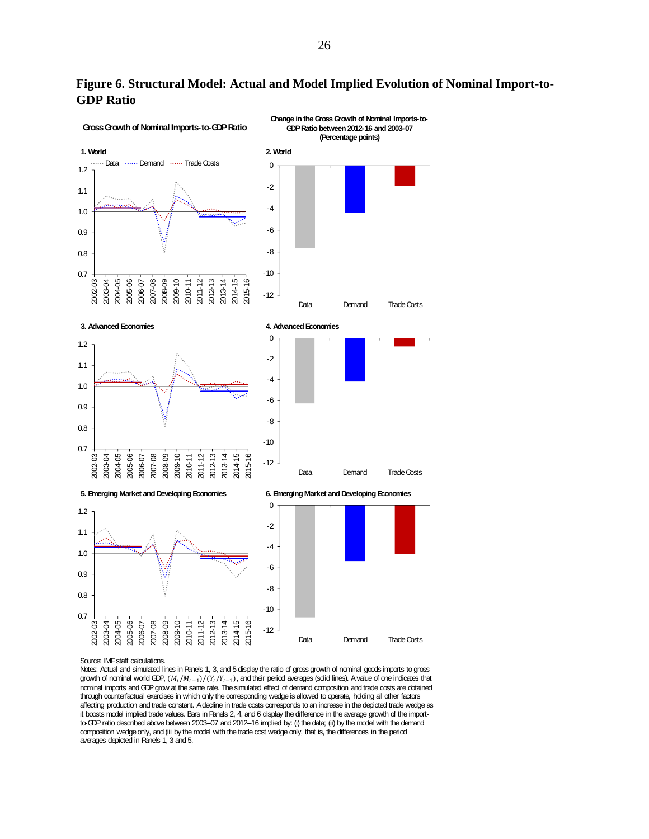

**Figure 6. Structural Model: Actual and Model Implied Evolution of Nominal Import-to-GDP Ratio** 

#### Source: IMF staff calculations.

Notes: Actual and simulated lines in Panels 1, 3, and 5 display the ratio of gross growth of nominal goods imports to gross growth of nominal world GDP,  $(M_t/M_{t-1})/(Y_t/Y_{t-1})$ , and their period averages (solid lines). A value of one indicates that nominal imports and GDP grow at the same rate. The simulated effect of demand composition and trade costs are obtained through counterfactual exercises in which only the corresponding wedge is allowed to operate, holding all other factors affecting production and trade constant. A decline in trade costs corresponds to an increase in the depicted trade wedge as it boosts model implied trade values. Bars in Panels 2, 4, and 6 display the difference in the average growth of the importto-GDP ratio described above between 2003–07 and 2012–16 implied by: (i) the data; (ii) by the model with the demand composition wedge only, and (iii by the model with the trade cost wedge only, that is, the differences in the period averages depicted in Panels 1, 3 and 5.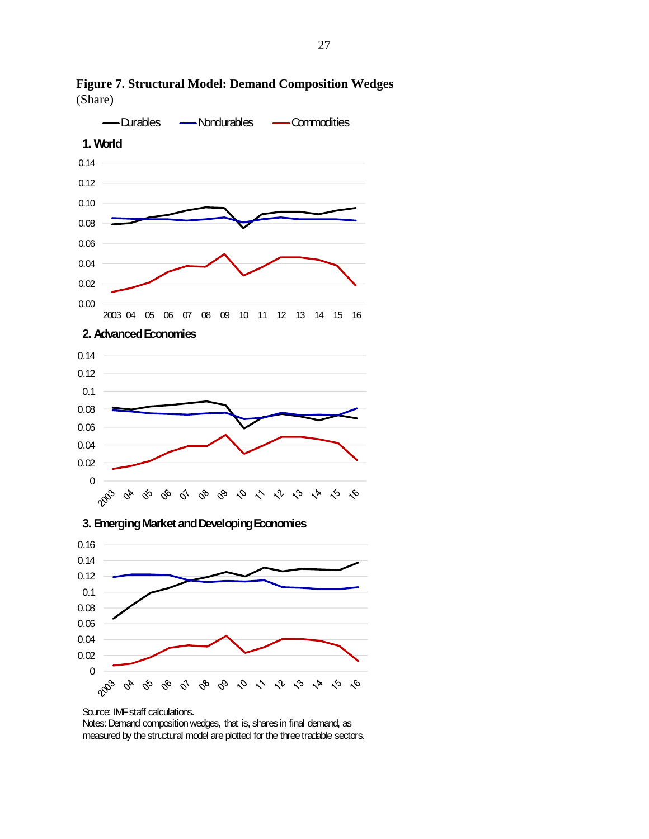

**Figure 7. Structural Model: Demand Composition Wedges**  (Share)



Source: IMF staff calculations.

Notes: Demand composition wedges, that is, shares in final demand, as measured by the structural model are plotted for the three tradable sectors.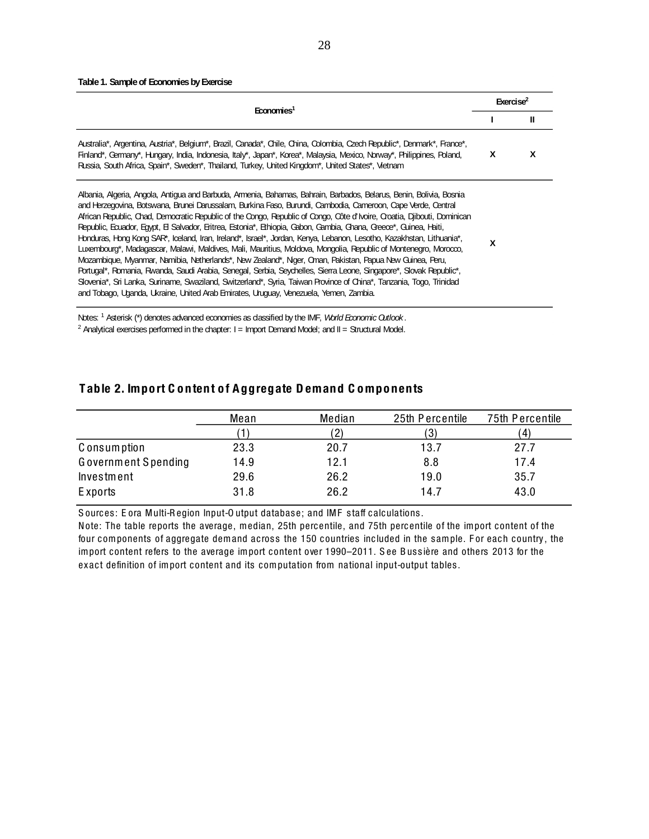#### **Table 1. Sample of Economies by Exercise**

| Australia*, Argentina, Austria*, Belgium*, Brazil, Canada*, Chile, China, Colombia, Czech Republic*, Denmark*, France*,<br>X<br>Finland*, Germany*, Hungary, India, Indonesia, Italy*, Japan*, Korea*, Malaysia, Mexico, Norway*, Philippines, Poland,<br>Russia, South Africa, Spain*, Sweden*, Thailand, Turkey, United Kingdom*, United States*, Vietnam<br>Albania, Algeria, Angola, Antigua and Barbuda, Armenia, Bahamas, Bahrain, Barbados, Belarus, Benin, Bolivia, Bosnia<br>and Herzegovina, Botswana, Brunei Darussalam, Burkina Faso, Burundi, Cambodia, Cameroon, Cape Verde, Central<br>African Republic, Chad, Democratic Republic of the Congo, Republic of Congo, Côte d'Ivoire, Croatia, Dibouti, Dominican<br>Republic, Ecuador, Egypt, El Salvador, Eritrea, Estonia*, Ethiopia, Gabon, Gambia, Ghana, Grecce*, Guinea, Haiti,<br>Honduras, Hong Kong SAR*, Iceland, Iran, Ireland*, Israel*, Jordan, Kenya, Lebanon, Lesotho, Kazakhstan, Lithuania*,<br>X<br>Luxembourg*, Madagascar, Malawi, Maldives, Mali, Mauritius, Moldova, Mongolia, Republic of Montenegro, Morocco,<br>Mozambique, Myanmar, Namibia, Netherlands*, New Zealand*, Niger, Oman, Pakistan, Papua New Quinea, Peru,<br>Portugal*, Romania, Rwanda, Saudi Arabia, Senegal, Serbia, Seychelles, Sierra Leone, Singapore*, Slovak Republic*,<br>Slovenia*, Sri Lanka, Suriname, Swaziland, Switzerland*, Syria, Taiwan Province of China*, Tanzania, Togo, Trinidad |                                                                                       | Exercise <sup>2</sup> |
|-------------------------------------------------------------------------------------------------------------------------------------------------------------------------------------------------------------------------------------------------------------------------------------------------------------------------------------------------------------------------------------------------------------------------------------------------------------------------------------------------------------------------------------------------------------------------------------------------------------------------------------------------------------------------------------------------------------------------------------------------------------------------------------------------------------------------------------------------------------------------------------------------------------------------------------------------------------------------------------------------------------------------------------------------------------------------------------------------------------------------------------------------------------------------------------------------------------------------------------------------------------------------------------------------------------------------------------------------------------------------------------------------------------------------------------------------------------|---------------------------------------------------------------------------------------|-----------------------|
|                                                                                                                                                                                                                                                                                                                                                                                                                                                                                                                                                                                                                                                                                                                                                                                                                                                                                                                                                                                                                                                                                                                                                                                                                                                                                                                                                                                                                                                             | <b>Economies</b>                                                                      | Ш                     |
|                                                                                                                                                                                                                                                                                                                                                                                                                                                                                                                                                                                                                                                                                                                                                                                                                                                                                                                                                                                                                                                                                                                                                                                                                                                                                                                                                                                                                                                             |                                                                                       | x                     |
|                                                                                                                                                                                                                                                                                                                                                                                                                                                                                                                                                                                                                                                                                                                                                                                                                                                                                                                                                                                                                                                                                                                                                                                                                                                                                                                                                                                                                                                             | and Tobago, Uganda, Ukraine, United Arab Emirates, Uruguay, Venezuela, Yemen, Zambia. |                       |

<sup>2</sup> Analytical exercises performed in the chapter:  $I =$  Import Demand Model; and  $II =$  Structural Model.

### Table 2. Import C ontent of Aggregate Demand C omponents

|                     | Mean | Median            | 25th Percentile | 75th Percentile |
|---------------------|------|-------------------|-----------------|-----------------|
|                     |      | $\left( 2\right)$ | 3)              | $\mathbf{A}$    |
| C onsumption        | 23.3 | 20.7              | 13.7            | 27.7            |
| Government Spending | 14.9 | 12.1              | 8.8             | 17.4            |
| Investment          | 29.6 | 26.2              | 19.0            | 35.7            |
| E xports            | 31.8 | 26.2              | 14.7            | 43.0            |

Sources: Eora Multi-Region Input-Output database; and IMF staff calculations.

N ote: The table reports the average, m edian, 25th percentile, and 75th percentile of the im port content of the four components of aggregate dem and across the 150 countries included in the sample. For each country, the import content refers to the average import content over 1990–2011. See Bussière and others 2013 for the exact definition of import content and its computation from national input-output tables.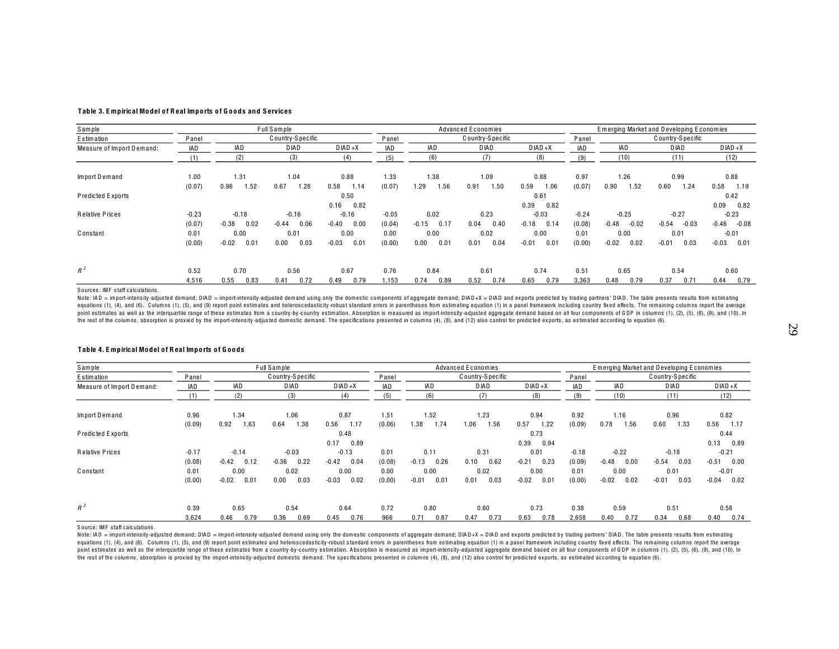#### Table 3. Empirical Model of Real Imports of Goods and Services

| Sample                    |         |                 | Full Sample       |                 |            |                 | Advanced Economies |                 |            |                    | Emerging Market and Developing Economies |                    |  |
|---------------------------|---------|-----------------|-------------------|-----------------|------------|-----------------|--------------------|-----------------|------------|--------------------|------------------------------------------|--------------------|--|
| Estimation                | Panel   |                 | C ountry-Specific |                 | Panel      |                 | C ountry-S pecific |                 | Panel      |                    | C ountry-S pecific                       |                    |  |
| Measure of Import Demand: | IAD     | IAD             | D IAD             | $D IAD + X$     | <b>IAD</b> | IAD             | D IAD              | $D IAD + X$     | <b>IAD</b> | IAD                | D IAD                                    | $D IAD + X$        |  |
|                           |         | (2)             | (3)               | (4)             | (5)        | (6)             | (7)                | (8)             | (9)        | (10)               | (11)                                     | (12)               |  |
| Import Demand             | 1.00    | 1.31            | 1.04              | 0.88            | 1.33       | 1.38            | 1.09<br>0.88       |                 |            | 1.26               | 0.99                                     | 0.88               |  |
|                           | (0.07)  | 1.52<br>0.96    | 0.67<br>1.28      | 0.58<br>1.14    | (0.07)     | ۔ 29<br>1.56    | 0.91<br>1.50       | 0.59<br>1.06    | (0.07)     | 0.90<br>1.52       | 0.60<br>1.24                             | 0.58<br>1.19       |  |
| Predicted Exports         |         | 0.50            |                   |                 |            |                 |                    | 0.61            |            |                    |                                          | 0.42               |  |
|                           |         |                 |                   | 0.16<br>0.82    |            |                 |                    | 0.39<br>0.82    |            |                    |                                          | 0.09<br>0.82       |  |
| Relative Prices           | $-0.23$ | $-0.18$         | $-0.16$           | $-0.16$         | $-0.05$    | 0.02            | 0.23               | $-0.03$         | $-0.24$    | $-0.25$            | $-0.27$                                  | $-0.23$            |  |
|                           | (0.07)  | 0.02<br>$-0.38$ | 0.06<br>$-0.44$   | $-0.40$<br>0.00 | (0.04)     | 0.17<br>$-0.15$ | 0.04<br>0.40       | 0.14<br>$-0.18$ | (0.08)     | $-0.48$<br>$-0.02$ | $-0.03$<br>$-0.54$                       | $-0.46$<br>$-0.08$ |  |
| Constant                  | 0.01    | 0.00            | 0.01              | 0.00            | 0.00       | 0.00            | 0.02               | 0.00            | 0.01       | 0.00               | 0.01                                     | $-0.01$            |  |
|                           | (0.00)  | 0.01<br>$-0.02$ | 0.00<br>0.03      | $-0.03$<br>0.01 | (0.00)     | 0.01<br>0.00    | 0.01<br>0.04       | $-0.01$<br>0.01 | (0.00)     | $-0.02$<br>0.02    | $-0.01$<br>0.03                          | $-0.03$<br>0.01    |  |
| $R^2$                     | 0.52    | 0.70            | 0.56              | 0.67            | 0.76       | 0.84            | 0.61               | 0.74            | 0.51       | 0.65               | 0.54                                     | 0.60               |  |
|                           | 4,516   | 0.83<br>0.55    | 0.72<br>0.41      | 0.49<br>0.79    | 1,153      | 0.89<br>0.74    | 0.52<br>0.74       | 0.65<br>0.79    | 3,363      | 0.79<br>0.48       | 0.37<br>0.71                             | 0.44<br>0.79       |  |

Sources: IMF staff calculations.

Note: IAD = import-intensity-adjusted demand; DIAD = import-intensity-adjusted demand using only the domestic components of aggregate demand; DIAD+X = DIAD and exports predicted by trading partners' DIAD. The table present equations (1), (4), and (6). Columns (1), (5), and (9) report point estimates and heteroscedasticity-robust standard errors in parentheses from estimating equation (1) in a panel framework including country fixed effects. point estimates as well as the interquartile range of these estimates from a country-by-country estimation. Absorption is measured as import-intensity-adjusted aggregate demand based on all four components of GDP in column the rest of the columns, absorption is proxied by the import-intensity-adjusted domestic demand. The specifications presented in columns (4), (8), and (12) also control for predicted exports, as estimated according to equa

#### Table 4. Empirical Model of Real Imports of Goods

| Sample                    |         |                 | Full Sample        |                 |            |                 | Advanced Economies |                 | Emerging Market and Developing Economies |                 |                  |                 |  |  |
|---------------------------|---------|-----------------|--------------------|-----------------|------------|-----------------|--------------------|-----------------|------------------------------------------|-----------------|------------------|-----------------|--|--|
| Estimation                | Panel   |                 | C ountry-S pecific |                 | Panel      |                 | Country-Specific   |                 | Panel                                    |                 | Country-Specific |                 |  |  |
| Measure of Import Demand: | IAD     | IAD             | <b>DIAD</b>        | $D IAD + X$     | <b>IAD</b> | IAD             | <b>DIAD</b>        | $D IAD + X$     | <b>IAD</b>                               | IAD             | <b>DIAD</b>      | $D IAD + X$     |  |  |
|                           | (1)     | (2)             | (3)                | (4)             | (5)        | (6)             | (7)                | (8)             | (9)                                      | (10)            | (11)             | (12)            |  |  |
| Import Demand             | 0.96    | 1.34            | 1.06               | 0.87            | 1.51       | 1.52            | 1.23               | 0.94            | 0.92                                     | 1.16            | 0.96             | 0.82            |  |  |
|                           | (0.09)  | 1.63<br>0.92    | 0.64<br>1.38       | 0.56<br>1.17    | (0.06)     | 1.38<br>1.74    | 1.56<br>1.06       | 0.57<br>1.22    | (0.09)                                   | 0.78<br>1.56    | 0.60<br>1.33     | 0.56<br>1.17    |  |  |
| Predicted Exports         |         |                 | 0.48               |                 |            | 0.73            |                    |                 |                                          |                 |                  | 0.44            |  |  |
|                           |         |                 |                    | 0.89<br>0.17    |            |                 |                    | 0.94<br>0.39    |                                          |                 |                  | 0.13<br>0.89    |  |  |
| <b>Relative Prices</b>    | $-0.17$ | $-0.14$         | $-0.03$            | $-0.13$         | 0.01       | 0.11            | 0.31               | 0.01            | $-0.18$                                  | $-0.22$         | $-0.18$          | $-0.21$         |  |  |
|                           | (0.08)  | $-0.42$<br>0.12 | $-0.36$<br>0.22    | $-0.42$<br>0.04 | (0.08)     | 0.26<br>$-0.13$ | 0.10<br>0.62       | $-0.21$<br>0.23 | (0.09)                                   | $-0.48$<br>0.00 | 0.03<br>$-0.54$  | $-0.51$<br>0.00 |  |  |
| Constant                  | 0.01    | 0.00            | 0.02               | 0.00            | 0.00       | 0.00            | 0.02               | 0.00            | 0.01                                     | 0.00            | 0.01             | $-0.01$         |  |  |
|                           | (0.00)  | 0.01<br>$-0.02$ | 0.00<br>0.03       | $-0.03$<br>0.02 | (0.00)     | 0.01<br>$-0.01$ | 0.01<br>0.03       | $-0.02$<br>0.01 | (0.00)                                   | $-0.02$<br>0.02 | 0.03<br>$-0.01$  | $-0.04$<br>0.02 |  |  |
| $R^2$                     | 0.39    | 0.65            | 0.54               | 0.64            | 0.72       | 0.80            | 0.60               | 0.73            | 0.38                                     | 0.59            | 0.51             | 0.58            |  |  |
|                           | 3,624   | 0.79<br>0.46    | 0.36<br>0.69       | 0.45<br>0.76    | 966        | 0.71<br>0.87    | 0.47<br>0.73       | 0.63<br>0.78    | 2,658                                    | 0.72<br>0.40    | 0.34<br>0.68     | 0.40<br>0.74    |  |  |

Source: IMF staff calculations.

Note: IAD = import-intensity-adjusted demand; DIAD = import-intensity-adjusted demand using only the domestic components of aggregate demand; DIAD+X = DIAD and exports predicted by trading partners' DIAD. The table present equations (1), (4), and (6). Columns (1), (5), and (9) report point estimates and heteroscedasticity-robust standard errors in parentheses from estimating equation (1) in a panel framework including country fixed effects. point estimates as well as the interquartile range of these estimates from a country-by-country estimation. Absorption is measured as import-intensity-adjusted aggregate demand based on all four components of GDP in column the rest of the columns, absorption is proxied by the import-intensity-adjusted domestic demand. The specifications presented in columns (4), (8), and (12) also control for predicted exports, as estimated according to equa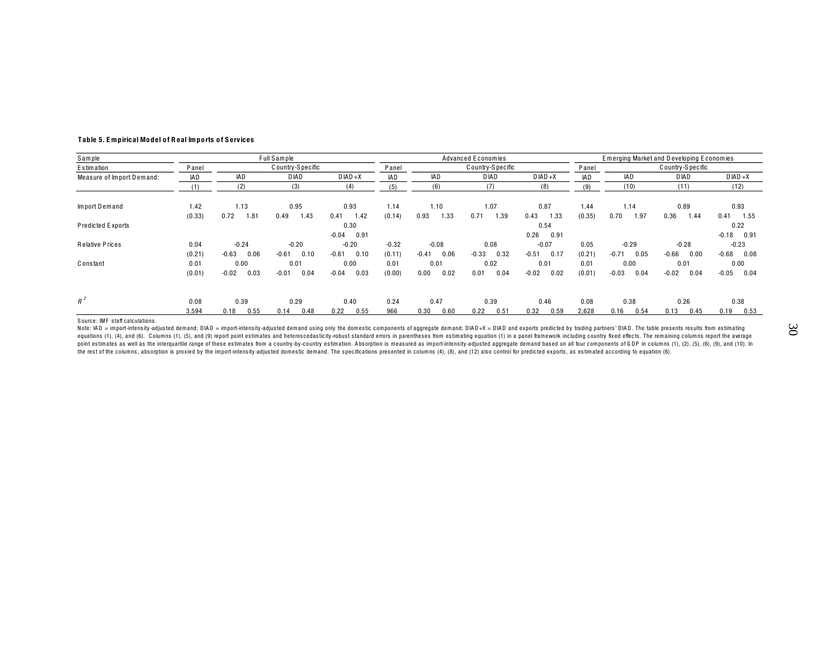| Sample                    |        |                 | Full Sample        |                 |                             |                 | <b>Advanced Economies</b> |                 |            |                 | Emerging Market and Developing Economies |                 |
|---------------------------|--------|-----------------|--------------------|-----------------|-----------------------------|-----------------|---------------------------|-----------------|------------|-----------------|------------------------------------------|-----------------|
| Estimation                | Panel  |                 | C ountry-S pecific |                 | C ountry-S pecific<br>Panel |                 |                           |                 | Panel      |                 | Country-Specific                         |                 |
| Measure of Import Demand: | IAD    | <b>IAD</b>      | D IAD              | $D IAD + X$     | <b>IAD</b>                  | <b>IAD</b>      | <b>DIAD</b>               | $D IAD + X$     | <b>IAD</b> | <b>IAD</b>      | <b>DIAD</b>                              | $D IAD + X$     |
|                           | (1)    | (2)             | (3)                | (4)             | (5)                         | (6)             | (7)                       | (8)             | (9)        | (10)            | (11)                                     | (12)            |
| Import Demand             | 1.42   | 1.13            | 0.95               | 0.93            | 1.14                        | 1.10            | 1.07                      | 0.87            | 1.44       | 1.14            | 0.89                                     | 0.93            |
|                           | (0.33) | 0.72<br>1.81    | 1.43<br>0.49       | 1.42<br>0.41    | (0.14)                      | 1.33<br>0.93    | 0.71<br>1.39              | 1.33<br>0.43    | (0.35)     | 0.70<br>1.97    | 0.36<br>1.44                             | 0.41<br>1.55    |
| Predicted Exports         |        |                 |                    | 0.30            |                             |                 |                           | 0.54            |            |                 |                                          | 0.22            |
|                           |        |                 |                    | 0.91<br>$-0.04$ |                             |                 |                           | 0.91<br>0.26    |            |                 |                                          | $-0.18$<br>0.91 |
| Relative Prices           | 0.04   | $-0.24$         | $-0.20$            | $-0.20$         | $-0.32$                     | $-0.08$         | 0.08                      | $-0.07$         | 0.05       | $-0.29$         | $-0.28$                                  | $-0.23$         |
|                           | (0.21) | $-0.63$<br>0.06 | $-0.61$<br>0.10    | $-0.61$<br>0.10 | (0.11)                      | 0.06<br>$-0.41$ | $-0.33$<br>0.32           | $-0.51$<br>0.17 | (0.21)     | $-0.71$<br>0.05 | $-0.66$<br>0.00                          | $-0.68$<br>0.08 |
| Constant                  | 0.01   | 0.00            | 0.01               | 0.00            | 0.01                        | 0.01            | 0.02                      | 0.01            | 0.01       | 0.00            | 0.01                                     | 0.00            |
|                           | (0.01) | 0.03<br>$-0.02$ | $-0.01$<br>0.04    | $-0.04$<br>0.03 | (0.00)                      | 0.02<br>0.00    | 0.01<br>0.04              | $-0.02$<br>0.02 | (0.01)     | 0.04<br>$-0.03$ | $-0.02$<br>0.04                          | $-0.05$<br>0.04 |
| $R^2$                     | 0.08   | 0.39            | 0.29               | 0.40            | 0.24                        | 0.47            | 0.39                      | 0.46            | 0.08       | 0.38            | 0.26                                     | 0.38            |
|                           | 3,594  | 0.55<br>0.18    | 0.48<br>0.14       | 0.22<br>0.55    | 966                         | 0.30<br>0.60    | 0.22<br>0.51              | 0.32<br>0.59    | 2,628      | 0.16<br>0.54    | 0.45<br>0.13                             | 0.19<br>0.53    |

#### **T ab le 5. E mp irical Mo d el o f R eal Imp o rts o f S ervices**

Source: IMF staff calculations.

Note: IAD = import-intensity-adjusted demand; DIAD = import-intensity-adjusted demand using only the domestic components of aggregate demand; DIAD+X = DIAD and exports predicted by trading partners' DIAD. The table present equations (1), (4), and (6). Columns (1), (5), and (9) report point estimates and heteroscedasticity-robust standard errors in parentheses from estimating equation (1) in a panel framework including country fixed effects. point estimates as well as the interquartile range of these estimates from a country-by-country estimation. Absorption is measured as import-intensity-adjusted aggregate demand based on all four components of GDP in column the rest of the columns, absorption is proxied by the import-intensity-adjusted domestic demand. The specifications presented in columns (4), (8), and (12) also control for predicted exports, as estimated according to equa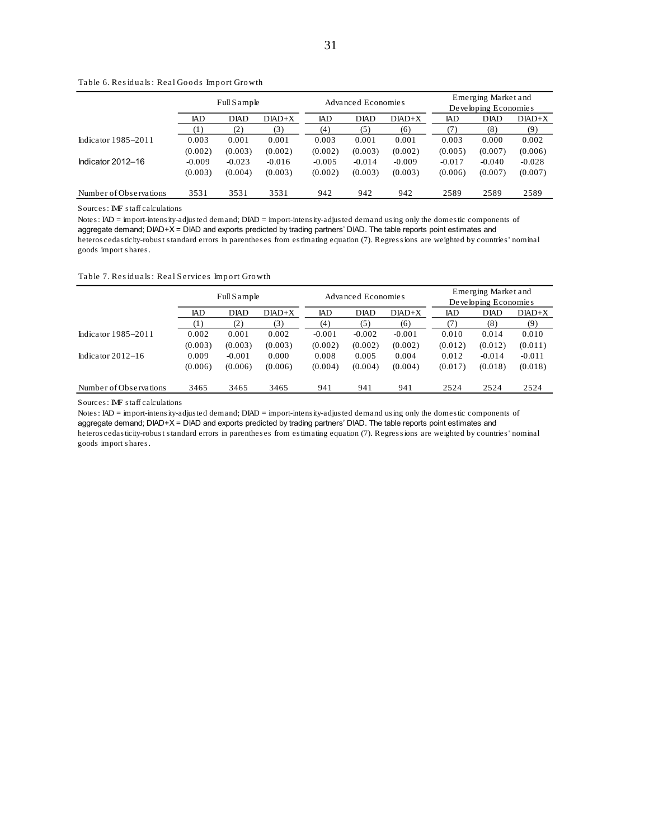|                         |          | Full Sample |           |          | Advanced Economies |          | Emerging Market and  |             |           |  |  |
|-------------------------|----------|-------------|-----------|----------|--------------------|----------|----------------------|-------------|-----------|--|--|
|                         |          |             |           |          |                    |          | Developing Economies |             |           |  |  |
|                         | IAD      | <b>DIAD</b> | $D IAD+X$ | IAD      | <b>DIAD</b>        | $DIAD+X$ | IAD                  | <b>DIAD</b> | $D IAD+X$ |  |  |
|                         | (1)      | (2)         | (3)       | (4)      | (5)                | (6)      | 71                   | (8)         | (9)       |  |  |
| Indicator $1985 - 2011$ | 0.003    | 0.001       | 0.001     | 0.003    | 0.001              | 0.001    | 0.003                | 0.000       | 0.002     |  |  |
|                         | (0.002)  | (0.003)     | (0.002)   | (0.002)  | (0.003)            | (0.002)  | (0.005)              | (0.007)     | (0.006)   |  |  |
| Indicator 2012-16       | $-0.009$ | $-0.023$    | $-0.016$  | $-0.005$ | $-0.014$           | $-0.009$ | $-0.017$             | $-0.040$    | $-0.028$  |  |  |
|                         | (0.003)  | (0.004)     | (0.003)   | (0.002)  | (0.003)            | (0.003)  | (0.006)              | (0.007)     | (0.007)   |  |  |
| Number of Observations  | 3531     | 3531        | 3531      | 942      | 942                | 942      | 2589                 | 2589        | 2589      |  |  |

Table 6. Residuals: Real Goods Import Growth

Sources: IMF staff calculations

Notes: IAD = import-intensity-adjusted demand; DIAD = import-intensity-adjusted demand using only the domestic components of aggregate demand; DIAD+X = DIAD and exports predicted by trading partners' DIAD. The table reports point estimates and heteroscedasticity-robust standard errors in parentheses from estimating equation (7). Regressions are weighted by countries' nominal goods import shares.

#### Table 7. Residuals: Real Services Import Growth

|                         |                     | Full Sample |           |          | Advanced Economies |           | Emerging Market and<br>Developing Economies |             |           |  |  |
|-------------------------|---------------------|-------------|-----------|----------|--------------------|-----------|---------------------------------------------|-------------|-----------|--|--|
|                         |                     |             |           |          |                    |           |                                             |             |           |  |  |
|                         | IAD                 | <b>DIAD</b> | $D IAD+X$ | IAD      | <b>DIAD</b>        | $D IAD+X$ | IAD                                         | <b>DIAD</b> | $D IAD+X$ |  |  |
|                         | $\scriptstyle{(1)}$ | (2)         | (3)       | (4)      | (5)                | (6)       |                                             | (8)         | (9)       |  |  |
| Indicator $1985 - 2011$ | 0.002               | 0.001       | 0.002     | $-0.001$ | $-0.002$           | $-0.001$  | 0.010                                       | 0.014       | 0.010     |  |  |
|                         | (0.003)             | (0.003)     | (0.003)   | (0.002)  | (0.002)            | (0.002)   | (0.012)                                     | (0.012)     | (0.011)   |  |  |
| Indicator $2012 - 16$   | 0.009               | $-0.001$    | 0.000     | 0.008    | 0.005              | 0.004     | 0.012                                       | $-0.014$    | $-0.011$  |  |  |
|                         | (0.006)             | (0.006)     | (0.006)   | (0.004)  | (0.004)            | (0.004)   | (0.017)                                     | (0.018)     | (0.018)   |  |  |
| Number of Observations  | 3465                | 3465        | 3465      | 941      | 941                | 941       | 2524                                        | 2524        | 2524      |  |  |

#### Sources: IMF staff calculations

Notes: IAD = import-intensity-adjusted demand; DIAD = import-intensity-adjusted demand using only the domestic components of aggregate demand; DIAD+X = DIAD and exports predicted by trading partners' DIAD. The table reports point estimates and heteroscedasticity-robust standard errors in parentheses from estimating equation (7). Regressions are weighted by countries' nominal goods import shares.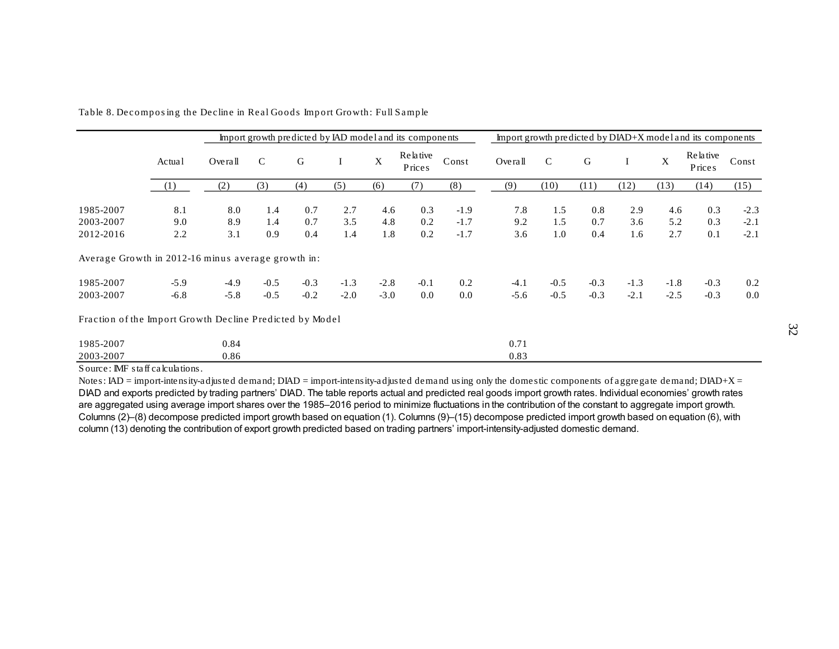|                                                          |            |            |               |             |            |             | Import growth predicted by IAD model and its components |                  |            |             |            |            |             | Import growth predicted by $DIAD+X$ model and its components |                  |
|----------------------------------------------------------|------------|------------|---------------|-------------|------------|-------------|---------------------------------------------------------|------------------|------------|-------------|------------|------------|-------------|--------------------------------------------------------------|------------------|
|                                                          | Actual     | Overa1     | $\mathcal{C}$ | $\mathsf G$ | $\bf{I}$   | $\mathbf X$ | Relative<br>Prices                                      | Const            | Overall    | $\mathbf C$ | G          | $\perp$    | $\mathbf X$ | Relative<br>Prices                                           | Const            |
|                                                          | (1)        | (2)        | (3)           | (4)         | (5)        | (6)         | (7)                                                     | (8)              | (9)        | (10)        | (11)       | (12)       | (13)        | (14)                                                         | (15)             |
| 1985-2007                                                | 8.1        | 8.0        | 1.4           | 0.7         | 2.7        | 4.6         | 0.3                                                     | $-1.9$           | 7.8        | 1.5         | 0.8        | 2.9        | 4.6         | 0.3                                                          | $-2.3$           |
| 2003-2007<br>2012-2016                                   | 9.0<br>2.2 | 8.9<br>3.1 | 1.4<br>0.9    | 0.7<br>0.4  | 3.5<br>1.4 | 4.8<br>1.8  | 0.2<br>0.2                                              | $-1.7$<br>$-1.7$ | 9.2<br>3.6 | 1.5<br>1.0  | 0.7<br>0.4 | 3.6<br>1.6 | 5.2<br>2.7  | 0.3<br>0.1                                                   | $-2.1$<br>$-2.1$ |
| Average Growth in 2012-16 minus average growth in:       |            |            |               |             |            |             |                                                         |                  |            |             |            |            |             |                                                              |                  |
| 1985-2007                                                | $-5.9$     | $-4.9$     | $-0.5$        | $-0.3$      | $-1.3$     | $-2.8$      | $-0.1$                                                  | 0.2              | $-4.1$     | $-0.5$      | $-0.3$     | $-1.3$     | $-1.8$      | $-0.3$                                                       | 0.2              |
| 2003-2007                                                | $-6.8$     | $-5.8$     | $-0.5$        | $-0.2$      | $-2.0$     | $-3.0$      | 0.0                                                     | 0.0              | $-5.6$     | $-0.5$      | $-0.3$     | $-2.1$     | $-2.5$      | $-0.3$                                                       | 0.0              |
| Fraction of the Import Growth Decline Predicted by Model |            |            |               |             |            |             |                                                         |                  |            |             |            |            |             |                                                              |                  |
| 1985-2007                                                |            | 0.84       |               |             |            |             |                                                         |                  | 0.71       |             |            |            |             |                                                              |                  |
| 2003-2007                                                |            | 0.86       |               |             |            |             |                                                         |                  | 0.83       |             |            |            |             |                                                              |                  |

Table 8. Decomposing the Decline in Real Goods Import Growth: Full Sample

Source: IMF staff calculations.

Notes: IAD = import-intensity-adjusted demand; DIAD = import-intensity-adjusted demand using only the domestic components of aggregate demand; DIAD+X = DIAD and exports predicted by trading partners' DIAD. The table reports actual and predicted real goods import growth rates. Individual economies' growth rates are aggregated using average import shares over the 1985–2016 period to minimize fluctuations in the contribution of the constant to aggregate import growth. Columns (2)–(8) decompose predicted import growth based on equation (1). Columns (9)–(15) decompose predicted import growth based on equation (6), with column (13) denoting the contribution of export growth predicted based on trading partners' import-intensity-adjusted domestic demand.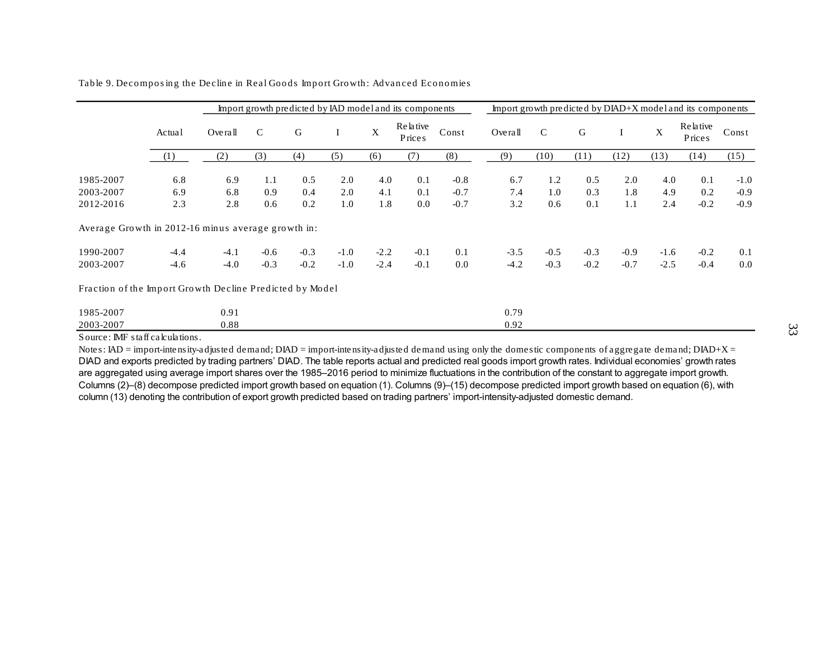|                                                          |        |        |               |        |              |             | Import growth predicted by IAD model and its components |        |         |             |        |        |             | Import growth predicted by DIAD+X model and its components |        |
|----------------------------------------------------------|--------|--------|---------------|--------|--------------|-------------|---------------------------------------------------------|--------|---------|-------------|--------|--------|-------------|------------------------------------------------------------|--------|
|                                                          | Actual | Oven   | $\mathcal{C}$ | G      | <sup>1</sup> | $\mathbf X$ | Relative<br><b>Prices</b>                               | Const  | Overall | $\mathbf C$ | G      | 1      | $\mathbf X$ | Relative<br>Prices                                         | Const  |
|                                                          | (1)    | (2)    | (3)           | (4)    | (5)          | (6)         | (7)                                                     | (8)    | (9)     | (10)        | (11)   | (12)   | (13)        | (14)                                                       | (15)   |
| 1985-2007                                                | 6.8    | 6.9    | 1.1           | 0.5    | 2.0          | 4.0         | 0.1                                                     | $-0.8$ | 6.7     | 1.2         | 0.5    | 2.0    | 4.0         | 0.1                                                        | $-1.0$ |
| 2003-2007                                                | 6.9    | 6.8    | 0.9           | 0.4    | 2.0          | 4.1         | 0.1                                                     | $-0.7$ | 7.4     | 1.0         | 0.3    | 1.8    | 4.9         | 0.2                                                        | $-0.9$ |
| 2012-2016                                                | 2.3    | 2.8    | 0.6           | 0.2    | 1.0          | 1.8         | 0.0                                                     | $-0.7$ | 3.2     | 0.6         | 0.1    | 1.1    | 2.4         | $-0.2$                                                     | $-0.9$ |
| Average Growth in 2012-16 minus average growth in:       |        |        |               |        |              |             |                                                         |        |         |             |        |        |             |                                                            |        |
| 1990-2007                                                | $-4.4$ | $-4.1$ | $-0.6$        | $-0.3$ | $-1.0$       | $-2.2$      | $-0.1$                                                  | 0.1    | $-3.5$  | $-0.5$      | $-0.3$ | $-0.9$ | $-1.6$      | $-0.2$                                                     | 0.1    |
| 2003-2007                                                | $-4.6$ | $-4.0$ | $-0.3$        | $-0.2$ | $-1.0$       | $-2.4$      | $-0.1$                                                  | 0.0    | $-4.2$  | $-0.3$      | $-0.2$ | $-0.7$ | $-2.5$      | $-0.4$                                                     | 0.0    |
| Fraction of the Import Growth Decline Predicted by Model |        |        |               |        |              |             |                                                         |        |         |             |        |        |             |                                                            |        |
| 1985-2007                                                |        | 0.91   |               |        |              |             |                                                         |        | 0.79    |             |        |        |             |                                                            |        |
| 2003-2007                                                |        | 0.88   |               |        |              |             |                                                         |        | 0.92    |             |        |        |             |                                                            |        |

Table 9. Decomposing the Decline in Real Goods Import Growth: Advanced Economies

Source: IMF staff calculations.

Notes: IAD = import-intensity-adjusted demand; DIAD = import-intensity-adjusted demand using only the domestic components of aggregate demand; DIAD+X = DIAD and exports predicted by trading partners' DIAD. The table reports actual and predicted real goods import growth rates. Individual economies' growth rates are aggregated using average import shares over the 1985–2016 period to minimize fluctuations in the contribution of the constant to aggregate import growth. Columns (2)–(8) decompose predicted import growth based on equation (1). Columns (9)–(15) decompose predicted import growth based on equation (6), with column (13) denoting the contribution of export growth predicted based on trading partners' import-intensity-adjusted domestic demand.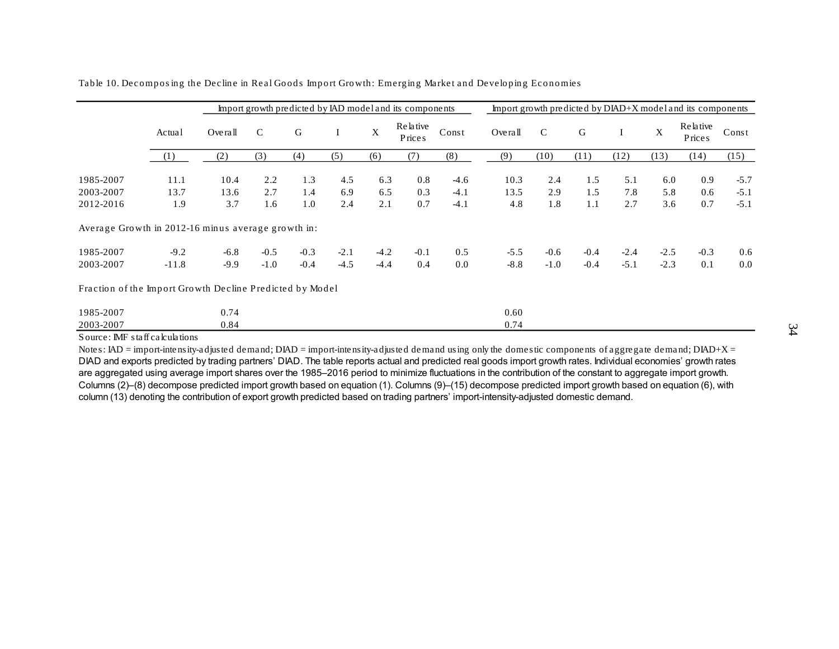|                                                          |             |             |              |            |            |             | Import growth predicted by IAD model and its components |                  |             |             |            |            |             | Import growth predicted by DIAD+X model and its components |                  |
|----------------------------------------------------------|-------------|-------------|--------------|------------|------------|-------------|---------------------------------------------------------|------------------|-------------|-------------|------------|------------|-------------|------------------------------------------------------------|------------------|
|                                                          | Actual      | Overall     | $\mathsf{C}$ | G          | $\bf{I}$   | $\mathbf X$ | Relative<br>Price <sub>s</sub>                          | Const            | Overall     | $\mathbf C$ | G          | I          | $\mathbf X$ | Relative<br>Prices                                         | Const            |
|                                                          | (1)         | (2)         | (3)          | (4)        | (5)        | (6)         | (7)                                                     | (8)              | (9)         | (10)        | (11)       | (12)       | (13)        | (14)                                                       | (15)             |
| 1985-2007                                                | 11.1        | 10.4        | 2.2          | 1.3        | 4.5        | 6.3         | 0.8                                                     | $-4.6$           | 10.3        | 2.4         | 1.5        | 5.1        | 6.0         | 0.9                                                        | $-5.7$           |
| 2003-2007<br>2012-2016                                   | 13.7<br>1.9 | 13.6<br>3.7 | 2.7<br>1.6   | 1.4<br>1.0 | 6.9<br>2.4 | 6.5<br>2.1  | 0.3<br>0.7                                              | $-4.1$<br>$-4.1$ | 13.5<br>4.8 | 2.9<br>1.8  | 1.5<br>1.1 | 7.8<br>2.7 | 5.8<br>3.6  | 0.6<br>0.7                                                 | $-5.1$<br>$-5.1$ |
| Average Growth in 2012-16 minus average growth in:       |             |             |              |            |            |             |                                                         |                  |             |             |            |            |             |                                                            |                  |
| 1985-2007                                                | $-9.2$      | $-6.8$      | $-0.5$       | $-0.3$     | $-2.1$     | $-4.2$      | $-0.1$                                                  | 0.5              | $-5.5$      | $-0.6$      | $-0.4$     | $-2.4$     | $-2.5$      | $-0.3$                                                     | 0.6              |
| 2003-2007                                                | $-11.8$     | $-9.9$      | $-1.0$       | $-0.4$     | $-4.5$     | $-4.4$      | 0.4                                                     | 0.0              | $-8.8$      | $-1.0$      | $-0.4$     | $-5.1$     | $-2.3$      | 0.1                                                        | 0.0              |
| Fraction of the Import Growth Decline Predicted by Model |             |             |              |            |            |             |                                                         |                  |             |             |            |            |             |                                                            |                  |
| 1985-2007                                                |             | 0.74        |              |            |            |             |                                                         |                  | 0.60        |             |            |            |             |                                                            |                  |
| 2003-2007                                                |             | 0.84        |              |            |            |             |                                                         |                  | 0.74        |             |            |            |             |                                                            |                  |

Table 10. Decomposing the Decline in Real Goods Import Growth: Emerging Market and Developing Economies

Source: IMF staff calculations

Notes: IAD = import-intensity-adjusted demand; DIAD = import-intensity-adjusted demand using only the domestic components of aggregate demand; DIAD+X = DIAD and exports predicted by trading partners' DIAD. The table reports actual and predicted real goods import growth rates. Individual economies' growth rates are aggregated using average import shares over the 1985–2016 period to minimize fluctuations in the contribution of the constant to aggregate import growth. Columns (2)–(8) decompose predicted import growth based on equation (1). Columns (9)–(15) decompose predicted import growth based on equation (6), with column (13) denoting the contribution of export growth predicted based on trading partners' import-intensity-adjusted domestic demand.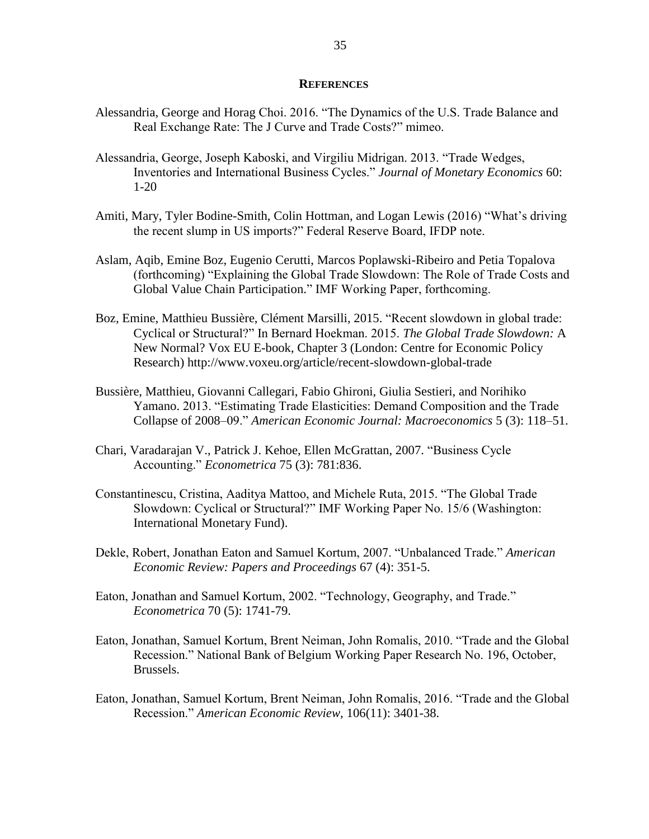#### **REFERENCES**

- Alessandria, George and Horag Choi. 2016. "The Dynamics of the U.S. Trade Balance and Real Exchange Rate: The J Curve and Trade Costs?" mimeo.
- Alessandria, George, Joseph Kaboski, and Virgiliu Midrigan. 2013. "Trade Wedges, Inventories and International Business Cycles." *Journal of Monetary Economics* 60: 1-20
- Amiti, Mary, Tyler Bodine-Smith, Colin Hottman, and Logan Lewis (2016) "What's driving the recent slump in US imports?" Federal Reserve Board, IFDP note.
- Aslam, Aqib, Emine Boz, Eugenio Cerutti, Marcos Poplawski-Ribeiro and Petia Topalova (forthcoming) "Explaining the Global Trade Slowdown: The Role of Trade Costs and Global Value Chain Participation." IMF Working Paper, forthcoming.
- Boz, Emine, Matthieu Bussière, Clément Marsilli, 2015. "Recent slowdown in global trade: Cyclical or Structural?" In Bernard Hoekman. 2015. *The Global Trade Slowdown:* A New Normal? Vox EU E-book, Chapter 3 (London: Centre for Economic Policy Research) http://www.voxeu.org/article/recent-slowdown-global-trade
- Bussière, Matthieu, Giovanni Callegari, Fabio Ghironi, Giulia Sestieri, and Norihiko Yamano. 2013. "Estimating Trade Elasticities: Demand Composition and the Trade Collapse of 2008–09." *American Economic Journal: Macroeconomics* 5 (3): 118–51.
- Chari, Varadarajan V., Patrick J. Kehoe, Ellen McGrattan, 2007. "Business Cycle Accounting." *Econometrica* 75 (3): 781:836.
- Constantinescu, Cristina, Aaditya Mattoo, and Michele Ruta, 2015. "The Global Trade Slowdown: Cyclical or Structural?" IMF Working Paper No. 15/6 (Washington: International Monetary Fund).
- Dekle, Robert, Jonathan Eaton and Samuel Kortum, 2007. "Unbalanced Trade." *American Economic Review: Papers and Proceedings* 67 (4): 351-5.
- Eaton, Jonathan and Samuel Kortum, 2002. "Technology, Geography, and Trade." *Econometrica* 70 (5): 1741-79.
- Eaton, Jonathan, Samuel Kortum, Brent Neiman, John Romalis, 2010. "Trade and the Global Recession." National Bank of Belgium Working Paper Research No. 196, October, Brussels.
- Eaton, Jonathan, Samuel Kortum, Brent Neiman, John Romalis, 2016. "Trade and the Global Recession." *American Economic Review,* 106(11): 3401-38.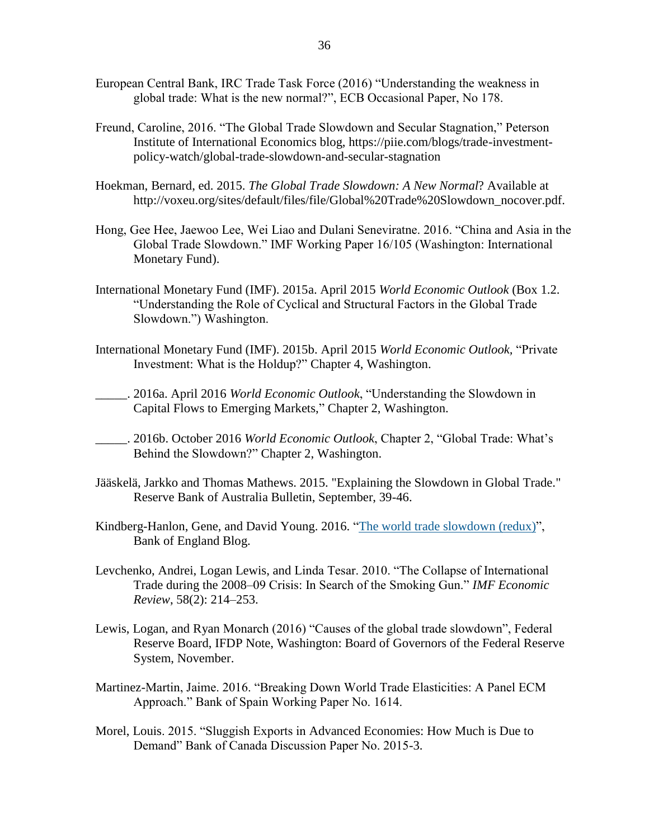- European Central Bank, IRC Trade Task Force (2016) "Understanding the weakness in global trade: What is the new normal?", ECB Occasional Paper, No 178.
- Freund, Caroline, 2016. "The Global Trade Slowdown and Secular Stagnation," Peterson Institute of International Economics blog, https://piie.com/blogs/trade-investmentpolicy-watch/global-trade-slowdown-and-secular-stagnation
- Hoekman, Bernard, ed. 2015. *The Global Trade Slowdown: A New Normal*? Available at http://voxeu.org/sites/default/files/file/Global%20Trade%20Slowdown\_nocover.pdf.
- Hong, Gee Hee, Jaewoo Lee, Wei Liao and Dulani Seneviratne. 2016. "China and Asia in the Global Trade Slowdown." IMF Working Paper 16/105 (Washington: International Monetary Fund).
- International Monetary Fund (IMF). 2015a. April 2015 *World Economic Outlook* (Box 1.2. "Understanding the Role of Cyclical and Structural Factors in the Global Trade Slowdown.") Washington.
- International Monetary Fund (IMF). 2015b. April 2015 *World Economic Outlook,* "Private Investment: What is the Holdup?" Chapter 4, Washington.
- \_\_\_\_\_. 2016a. April 2016 *World Economic Outlook*, "Understanding the Slowdown in Capital Flows to Emerging Markets," Chapter 2, Washington.
- \_\_\_\_\_. 2016b. October 2016 *World Economic Outlook*, Chapter 2, "Global Trade: What's Behind the Slowdown?" Chapter 2, Washington.
- Jääskelä, Jarkko and Thomas Mathews. 2015. "Explaining the Slowdown in Global Trade." Reserve Bank of Australia Bulletin, September, 39-46.
- Kindberg-Hanlon, Gene, and David Young. 2016. "The world trade [slowdown](https://bankunderground.co.uk/2016/12/12/the-world-trade-slowdown-redux/) (redux)", Bank of England Blog.
- Levchenko, Andrei, Logan Lewis, and Linda Tesar. 2010. "The Collapse of International Trade during the 2008–09 Crisis: In Search of the Smoking Gun." *IMF Economic Review*, 58(2): 214–253.
- Lewis, Logan, and Ryan Monarch (2016) "Causes of the global trade slowdown", Federal Reserve Board, IFDP Note, Washington: Board of Governors of the Federal Reserve System, November.
- Martinez-Martin, Jaime. 2016. "Breaking Down World Trade Elasticities: A Panel ECM Approach." Bank of Spain Working Paper No. 1614.
- Morel, Louis. 2015. "Sluggish Exports in Advanced Economies: How Much is Due to Demand" Bank of Canada Discussion Paper No. 2015-3.